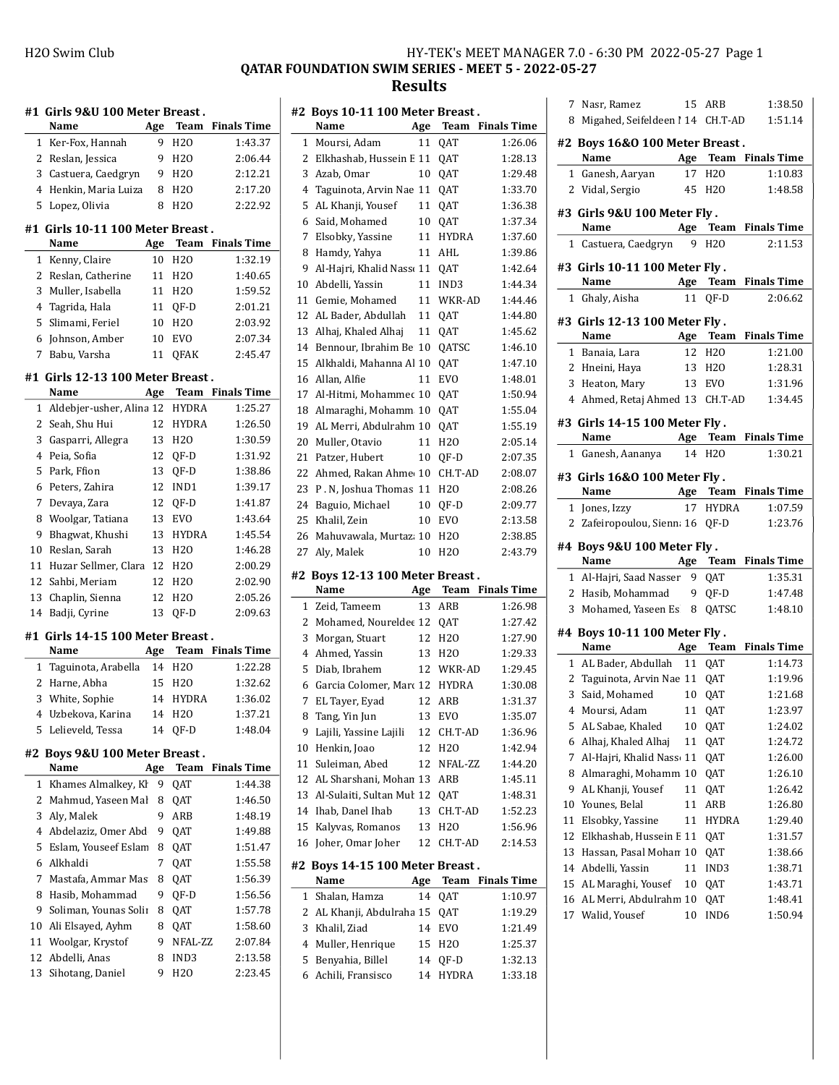## H2O Swim Club HY-TEK's MEET MANAGER 7.0 - 6:30 PM 2022-05-27 Page 1 QATAR FOUNDATION SWIM SERIES - MEET 5 - 2022-05-27 Results

| Girls 9&U 100 Meter Breast.<br>#1 |                                   |     |                    |                    |  |
|-----------------------------------|-----------------------------------|-----|--------------------|--------------------|--|
|                                   | Name                              | Age | Team               | <b>Finals Time</b> |  |
| 1                                 | Ker-Fox, Hannah                   | 9   | H <sub>20</sub>    | 1:43.37            |  |
| 2                                 | Reslan, Jessica                   | 9   | H <sub>20</sub>    | 2:06.44            |  |
| 3                                 | Castuera, Caedgryn                | 9   | H20                | 2:12.21            |  |
| 4                                 | Henkin, Maria Luiza               | 8   | H <sub>20</sub>    | 2:17.20            |  |
| 5                                 | Lopez, Olivia                     | 8   | H <sub>20</sub>    | 2:22.92            |  |
|                                   | #1 Girls 10-11 100 Meter Breast.  |     |                    |                    |  |
|                                   | Name                              | Age | Team               | <b>Finals Time</b> |  |
| 1                                 | Kenny, Claire                     | 10  | H2O                | 1:32.19            |  |
| 2                                 | Reslan, Catherine                 | 11  | H <sub>20</sub>    | 1:40.65            |  |
| 3                                 | Muller, Isabella                  | 11  | H <sub>20</sub>    | 1:59.52            |  |
| 4                                 | Tagrida, Hala                     | 11  | QF-D               | 2:01.21            |  |
| 5                                 | Slimami, Feriel                   | 10  | H <sub>20</sub>    | 2:03.92            |  |
| 6                                 | Johnson, Amber                    | 10  | <b>EVO</b>         | 2:07.34            |  |
| 7                                 | Babu, Varsha                      | 11  | QFAK               | 2:45.47            |  |
|                                   |                                   |     |                    |                    |  |
|                                   | #1 Girls 12-13 100 Meter Breast . |     |                    |                    |  |
|                                   | Name                              | Age | Team               | <b>Finals Time</b> |  |
| 1                                 | Aldebjer-usher, Alina 12          |     | HYDRA              | 1:25.27            |  |
| 2                                 | Seah, Shu Hui                     | 12  | <b>HYDRA</b>       | 1:26.50            |  |
| 3                                 | Gasparri, Allegra                 | 13  | H <sub>20</sub>    | 1:30.59            |  |
| 4                                 | Peia, Sofia                       | 12  | QF-D               | 1:31.92            |  |
| 5                                 | Park, Ffion                       | 13  | QF-D               | 1:38.86            |  |
| 6                                 | Peters, Zahira                    | 12  | IND1               | 1:39.17            |  |
| 7                                 | Devaya, Zara                      | 12  | QF-D               | 1:41.87            |  |
| 8                                 | Woolgar, Tatiana                  | 13  | <b>EVO</b>         | 1:43.64            |  |
| 9                                 | Bhagwat, Khushi                   | 13  | <b>HYDRA</b>       | 1:45.54            |  |
| 10                                | Reslan, Sarah                     | 13  | H20                | 1:46.28            |  |
| 11                                | Huzar Sellmer, Clara              | 12  | H <sub>20</sub>    | 2:00.29            |  |
| 12                                | Sahbi, Meriam                     | 12  | H <sub>20</sub>    | 2:02.90            |  |
| 13                                | Chaplin, Sienna                   | 12  | H20                | 2:05.26            |  |
| 14                                | Badji, Cyrine                     | 13  | QF-D               | 2:09.63            |  |
|                                   | #1 Girls 14-15 100 Meter Breast.  |     |                    |                    |  |
|                                   | Name                              | Age | <b>Team</b>        | <b>Finals Time</b> |  |
| 1                                 | Taguinota, Arabella               | 14  | H <sub>20</sub>    | 1:22.28            |  |
| 2                                 | Harne, Abha                       | 15  | H <sub>20</sub>    | 1:32.62            |  |
| 3                                 | White, Sophie                     | 14  | <b>HYDRA</b>       | 1:36.02            |  |
|                                   | 4 Uzbekova, Karina                |     | 14 H <sub>20</sub> | 1:37.21            |  |
| 5                                 | Lelieveld, Tessa                  | 14  | QF-D               | 1:48.04            |  |
| #2                                | Boys 9&U 100 Meter Breast.        |     |                    |                    |  |
|                                   | Name                              | Age | Team               | <b>Finals Time</b> |  |
| 1                                 | Khames Almalkey, Kl               | 9   | QAT                | 1:44.38            |  |
| 2                                 | Mahmud, Yaseen Mal                | 8   | QAT                | 1:46.50            |  |
| 3                                 | Aly, Malek                        | 9   | ARB                | 1:48.19            |  |
| 4                                 | Abdelaziz, Omer Abd               | 9   | QAT                | 1:49.88            |  |
| 5                                 | Eslam, Youseef Eslam              | 8   | QAT                | 1:51.47            |  |
| 6                                 | Alkhaldi                          | 7   | QAT                | 1:55.58            |  |
| 7                                 | Mastafa, Ammar Mas                | 8   | QAT                | 1:56.39            |  |
| 8                                 | Hasib, Mohammad                   | 9   | QF-D               | 1:56.56            |  |
| 9                                 | Soliman, Younas Solin             | 8   | QAT                | 1:57.78            |  |
| 10                                | Ali Elsayed, Ayhm                 | 8   | QAT                | 1:58.60            |  |
| 11                                | Woolgar, Krystof                  | 9   | NFAL-ZZ            | 2:07.84            |  |
| 12                                | Abdelli, Anas                     | 8   | IND3               | 2:13.58            |  |
| 13                                | Sihotang, Daniel                  | 9   | H20                | 2:23.45            |  |

|    | #2 Boys 10-11 100 Meter Breast.         |     |                 |                         |
|----|-----------------------------------------|-----|-----------------|-------------------------|
|    | Name                                    | Age | Team            | <b>Finals Time</b>      |
| 1  | Moursi, Adam                            | 11  | QAT             | 1:26.06                 |
| 2  | Elkhashab, Hussein E 11                 |     | QAT             | 1:28.13                 |
| 3  | Azab, Omar                              | 10  | QAT             | 1:29.48                 |
| 4  | Taguinota, Arvin Nae 11                 |     | QAT             | 1:33.70                 |
| 5  | AL Khanji, Yousef                       | 11  | QAT             | 1:36.38                 |
| 6  | Said, Mohamed                           | 10  | QAT             | 1:37.34                 |
| 7  | Elsobky, Yassine                        | 11  | HYDRA           | 1:37.60                 |
| 8  | Hamdy, Yahya                            | 11  | AHL             | 1:39.86                 |
| 9  | Al-Hajri, Khalid Nass 11                |     | QAT             | 1:42.64                 |
| 10 | Abdelli, Yassin                         | 11  | IND3            | 1:44.34                 |
| 11 | Gemie, Mohamed                          | 11  | WKR-AD          | 1:44.46                 |
| 12 | AL Bader, Abdullah                      | 11  | QAT             | 1:44.80                 |
| 13 | Alhaj, Khaled Alhaj                     | 11  | QAT             | 1:45.62                 |
| 14 | Bennour, Ibrahim Be 10                  |     | QATSC           | 1:46.10                 |
| 15 | Alkhaldi, Mahanna Al 10                 |     | QAT             | 1:47.10                 |
| 16 | Allan, Alfie                            | 11  | EVO             | 1:48.01                 |
| 17 | Al-Hitmi, Mohammec 10                   |     | QAT             | 1:50.94                 |
| 18 | Almaraghi, Mohamm 10                    |     | QAT             | 1:55.04                 |
| 19 | AL Merri, Abdulrahm 10                  |     | QAT             | 1:55.19                 |
| 20 | Muller, Otavio                          | 11  | H <sub>20</sub> | 2:05.14                 |
| 21 | Patzer, Hubert                          | 10  | QF-D            | 2:07.35                 |
| 22 | Ahmed, Rakan Ahme 10                    |     | CH.T-AD         | 2:08.07                 |
| 23 | P. N. Joshua Thomas 11                  |     | H <sub>20</sub> | 2:08.26                 |
| 24 | Baguio, Michael                         | 10  | QF-D            | 2:09.77                 |
| 25 | Khalil, Zein                            | 10  | EVO             | 2:13.58                 |
| 26 | Mahuvawala, Murtaz: 10                  |     | H2O             | 2:38.85                 |
| 27 | Aly, Malek                              | 10  | H <sub>20</sub> | 2:43.79                 |
| #2 | Boys 12-13 100 Meter Breast.            |     |                 |                         |
|    | Name                                    | Age | Team            | <b>Finals Time</b>      |
| 1  | Zeid, Tameem                            | 13  | ARB             | 1:26.98                 |
| 2  | Mohamed, Noureldee 12                   |     | QAT             | 1:27.42                 |
| 3  | Morgan, Stuart                          | 12  | H <sub>20</sub> | 1:27.90                 |
| 4  | Ahmed, Yassin                           | 13  | H <sub>20</sub> | 1:29.33                 |
| 5  | Diab, Ibrahem                           | 12  | WKR-AD          | 1:29.45                 |
| 6  | Garcia Colomer, Marc 12                 |     | <b>HYDRA</b>    | 1:30.08                 |
| 7  | EL Tayer, Eyad                          | 12  | ARB             | 1:31.37                 |
| 8  | Tang, Yin Jun                           |     | 13 EVO          | 1:35.07                 |
| 9  | Lajili, Yassine Lajili                  | 12  | CH.T-AD         | 1:36.96                 |
| 10 | Henkin, Joao                            | 12  | H2O             | 1:42.94                 |
| 11 | Suleiman, Abed                          | 12  | NFAL-ZZ         | 1:44.20                 |
| 12 | AL Sharshani, Mohan 13                  |     | ARB             | 1:45.11                 |
| 13 | Al-Sulaiti, Sultan Mul 12               |     |                 | 1:48.31                 |
| 14 | Ihab, Danel Ihab                        | 13  | QAT<br>CH.T-AD  | 1:52.23                 |
| 15 | Kalyvas, Romanos                        |     | H <sub>20</sub> |                         |
|    |                                         | 13  |                 | 1:56.96                 |
| 16 | Joher, Omar Joher                       | 12  | CH.T-AD         | 2:14.53                 |
|    | #2 Boys 14-15 100 Meter Breast.<br>Name | Age |                 | <b>Team</b> Finals Time |
| 1  | Shalan, Hamza                           | 14  | QAT             | 1:10.97                 |
| 2  | AL Khanji, Abdulraha 15                 |     | QAT             | 1:19.29                 |
| 3  | Khalil, Ziad                            | 14  | <b>EVO</b>      | 1:21.49                 |
| 4  | Muller, Henrique                        | 15  | H2O             | 1:25.37                 |
| 5  | Benyahia, Billel                        | 14  | QF-D            | 1:32.13                 |
| 6  | Achili, Fransisco                       | 14  | HYDRA           | 1:33.18                 |
|    |                                         |     |                 |                         |

|              | 7 Nasr, Ramez                                 |    | 15 ARB             | 1:38.50                 |
|--------------|-----------------------------------------------|----|--------------------|-------------------------|
| 8            | Migahed, Seifeldeen ! 14 CH.T-AD              |    |                    | 1:51.14                 |
|              | #2 Boys 16&0 100 Meter Breast .               |    |                    |                         |
|              | Name                                          |    |                    | Age Team Finals Time    |
|              | 1 Ganesh, Aaryan                              | 17 | H <sub>20</sub>    | 1:10.83                 |
|              | 2 Vidal, Sergio                               | 45 | H2O                | 1:48.58                 |
|              |                                               |    |                    |                         |
|              | #3 Girls 9&U 100 Meter Fly .                  |    |                    |                         |
|              | Name $\qquad \qquad$                          |    |                    | Age Team Finals Time    |
|              | 1 Castuera, Caedgryn                          | 9  | H <sub>20</sub>    | 2:11.53                 |
|              | #3 Girls 10-11 100 Meter Fly.                 |    |                    |                         |
|              | Age Team Finals Time<br>Name                  |    |                    |                         |
|              | 1 Ghaly, Aisha                                | 11 | OF-D               | 2:06.62                 |
|              | #3 Girls 12-13 100 Meter Fly.                 |    |                    |                         |
|              | Name                                          |    |                    | Age Team Finals Time    |
|              | 1 Banaia, Lara                                | 12 | H20                | 1:21.00                 |
|              | 2 Hneini, Haya                                |    | 13 H <sub>20</sub> | 1:28.31                 |
|              | 3 Heaton, Mary                                |    | 13 EVO             | 1:31.96                 |
|              | 4 Ahmed, Retaj Ahmed 13 CH.T-AD               |    |                    | 1:34.45                 |
|              | #3 Girls 14-15 100 Meter Fly.                 |    |                    |                         |
|              | <b>Example 2 Age Team Finals Time</b><br>Name |    |                    |                         |
|              | 1 Ganesh, Aananya                             |    | 14 H <sub>20</sub> | 1:30.21                 |
|              |                                               |    |                    |                         |
|              | #3 Girls 16&0 100 Meter Fly.                  |    |                    |                         |
|              | Name                                          |    |                    | Age Team Finals Time    |
| 1            | Jones, Izzy                                   |    | 17 HYDRA           | 1:07.59                 |
| $\mathbf{2}$ | Zafeiropoulou, Sienna 16 QF-D                 |    |                    | 1:23.76                 |
|              | #4 Boys 9&U 100 Meter Fly.                    |    |                    |                         |
|              | Name Age Team Finals Time                     |    |                    |                         |
|              | 1 Al-Hajri, Saad Nasser                       |    | 9 QAT              | 1:35.31                 |
|              | 2 Hasib, Mohammad 9 QF-D                      |    |                    | 1:47.48                 |
|              | 3 Mohamed, Yaseen Es 8                        |    | QATSC              | 1:48.10                 |
|              | #4 Boys 10-11 100 Meter Fly.                  |    |                    |                         |
|              | Name<br>Age                                   |    |                    | <b>Team</b> Finals Time |
|              | 1 AL Bader, Abdullah                          |    | 11 QAT             | 1:14.73                 |
|              | 2 Taguinota, Arvin Nae 11 QAT                 |    |                    | 1:19.96                 |
|              | 3 Said, Mohamed                               | 10 | QAT                | 1:21.68                 |
|              | 4 Moursi, Adam 11 QAT                         |    |                    | 1:23.97                 |
| 5            | AL Sabae, Khaled                              | 10 | QAT                | 1:24.02                 |
| 6            | Alhaj, Khaled Alhaj                           | 11 | QAT                | 1:24.72                 |
| 7            | Al-Hajri, Khalid Nass 11                      |    | QAT                | 1:26.00                 |
| 8            | Almaraghi, Mohamm                             | 10 | QAT                | 1:26.10                 |
| 9            | AL Khanji, Yousef                             | 11 | QAT                | 1:26.42                 |
| 10           | Younes, Belal                                 | 11 | ARB                | 1:26.80                 |
| 11           | Elsobky, Yassine                              | 11 | HYDRA              | 1:29.40                 |
| 12           | Elkhashab, Hussein E 11                       |    | QAT                | 1:31.57                 |
| 13           | Hassan, Pasal Mohan 10                        |    | QAT                | 1:38.66                 |
| 14           | Abdelli, Yassin                               | 11 | IND3               | 1:38.71                 |
| 15           | AL Maraghi, Yousef                            | 10 | QAT                | 1:43.71                 |
| 16<br>17     | AL Merri, Abdulrahm 10<br>Walid, Yousef       |    | QAT                | 1:48.41                 |
|              |                                               | 10 | IND6               | 1:50.94                 |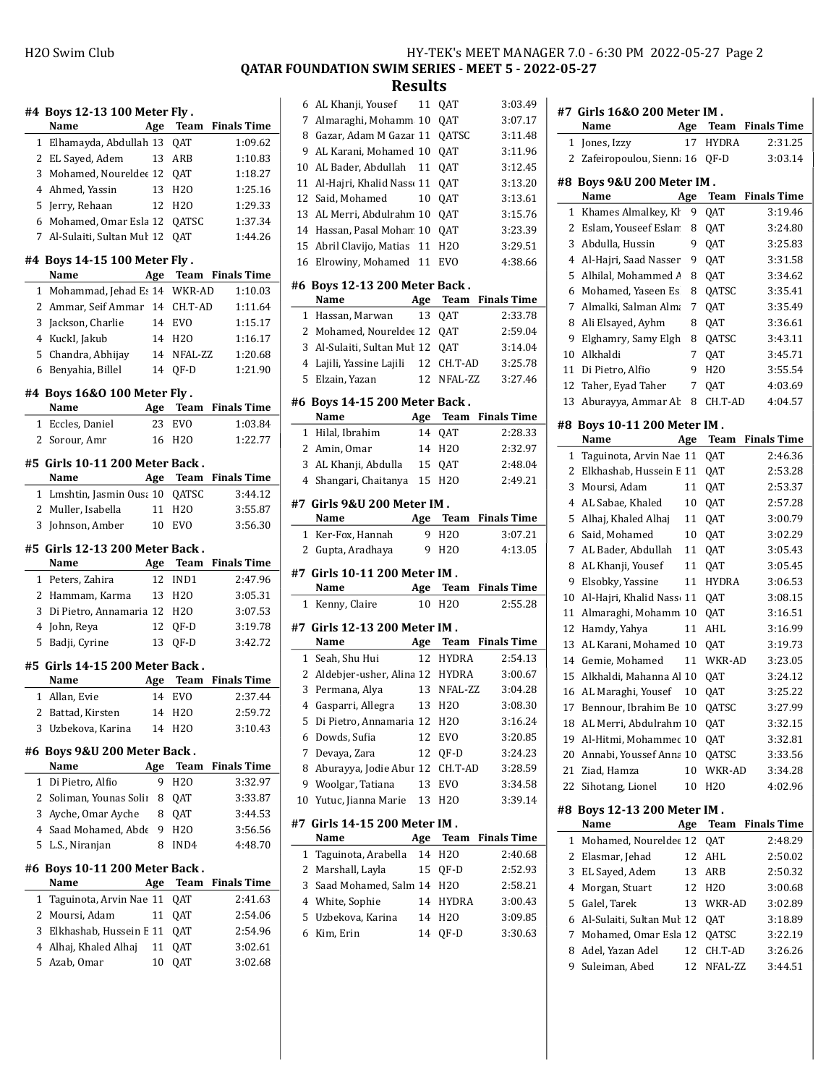## QATAR FOUNDATION SWIM SERIES - MEET 5 - 2022-05-27

|                                                          | #4 Boys 12-13 100 Meter Fly .     |          |                     |                         |  |
|----------------------------------------------------------|-----------------------------------|----------|---------------------|-------------------------|--|
|                                                          | Name                              | Age      |                     | <b>Team</b> Finals Time |  |
| 1                                                        | Elhamayda, Abdullah 13 QAT        |          |                     | 1:09.62                 |  |
| 2                                                        | EL Sayed, Adem                    |          | 13 ARB              | 1:10.83                 |  |
|                                                          | 3 Mohamed, Noureldet 12 QAT       |          |                     | 1:18.27                 |  |
|                                                          | 4 Ahmed, Yassin                   |          | 13 H <sub>20</sub>  | 1:25.16                 |  |
| 5                                                        | Jerry, Rehaan                     |          | 12 H <sub>2</sub> O | 1:29.33                 |  |
|                                                          | 6 Mohamed, Omar Esla 12 QATSC     |          |                     | 1:37.34                 |  |
| 7                                                        | Al-Sulaiti, Sultan Mul 12 OAT     |          |                     | 1:44.26                 |  |
|                                                          | #4 Boys 14-15 100 Meter Fly.      |          |                     |                         |  |
|                                                          | Name                              |          |                     | Age Team Finals Time    |  |
| 1                                                        | Mohammad, Jehad Es 14 WKR-AD      |          |                     | 1:10.03                 |  |
|                                                          | 2 Ammar, Seif Ammar 14 CH.T-AD    |          |                     | 1:11.64                 |  |
| 3                                                        | Jackson, Charlie                  |          | 14 EVO              | 1:15.17                 |  |
|                                                          | 4 KuckI, Jakub                    |          | 14 H <sub>20</sub>  | 1:16.17                 |  |
|                                                          | 5 Chandra, Abhijay                |          | 14 NFAL-ZZ          | 1:20.68                 |  |
|                                                          | 6 Benyahia, Billel                | 14       | OF-D                | 1:21.90                 |  |
| #4 Boys 16&0 100 Meter Fly.<br>#<br>Age Team Finals Time |                                   |          |                     |                         |  |
|                                                          | Name                              |          |                     |                         |  |
|                                                          | 1 Eccles, Daniel                  | 23       | <b>EVO</b>          | 1:03.84                 |  |
|                                                          | 2 Sorour, Amr                     | 16       | H <sub>20</sub>     | 1:22.77                 |  |
|                                                          | #5 Girls 10-11 200 Meter Back .   |          |                     |                         |  |
|                                                          | Name                              |          |                     | Age Team Finals Time    |  |
| 1                                                        | Lmshtin, Jasmin Ousa 10 QATSC     |          |                     | 3:44.12                 |  |
|                                                          | 2 Muller, Isabella                |          | 11 H <sub>20</sub>  | 3:55.87                 |  |
|                                                          | 3 Johnson, Amber                  |          | 10 EVO              | 3:56.30                 |  |
|                                                          | #5 Girls 12-13 200 Meter Back.    |          |                     |                         |  |
|                                                          | Name                              |          |                     | Age Team Finals Time    |  |
|                                                          | 1 Peters, Zahira                  | 12       | IND1                | 2:47.96                 |  |
|                                                          | 2 Hammam, Karma                   |          | 13 H2O              | 3:05.31                 |  |
| 3                                                        | Di Pietro, Annamaria 12 H2O       |          |                     | 3:07.53                 |  |
| 4                                                        | John, Reya                        | 12       | QF-D                | 3:19.78                 |  |
|                                                          | 5 Badji, Cyrine                   | 13       | QF-D                | 3:42.72                 |  |
|                                                          | #5 Girls 14-15 200 Meter Back .   |          |                     |                         |  |
|                                                          | Name                              |          |                     | Age Team Finals Time    |  |
| $\mathbf{1}$                                             | Allan, Evie                       | 14       | <b>EVO</b>          | 2:37.44                 |  |
| 2                                                        | Battad, Kirsten                   | 14       | H2O                 | 2:59.72                 |  |
|                                                          | Uzbekova, Karina                  |          |                     |                         |  |
| 3                                                        |                                   | 14       | H <sub>20</sub>     | 3:10.43                 |  |
|                                                          | #6 Boys 9&U 200 Meter Back.       |          |                     |                         |  |
|                                                          | Name                              | Age      | Team                | <b>Finals Time</b>      |  |
| 1                                                        | Di Pietro, Alfio                  | 9        | H2O                 | 3:32.97                 |  |
| 2                                                        | Soliman, Younas Solir             | 8        | QAT                 | 3:33.87                 |  |
| 3                                                        | Ayche, Omar Ayche                 | 8        | QAT                 | 3:44.53                 |  |
| 4                                                        | Saad Mohamed, Abde                | 9        | H20                 | 3:56.56                 |  |
| 5                                                        | L.S., Niranjan                    | 8        | IND4                | 4:48.70                 |  |
| #6                                                       | <b>Boys 10-11 200 Meter Back.</b> |          |                     |                         |  |
|                                                          | Name                              | Age      | Team                | <b>Finals Time</b>      |  |
| 1                                                        | Taguinota, Arvin Nae 11           |          | QAT                 | 2:41.63                 |  |
| 2                                                        | Moursi, Adam                      | 11       | QAT                 | 2:54.06                 |  |
| 3                                                        | Elkhashab, Hussein E 11           |          |                     | 2:54.96                 |  |
| 4                                                        |                                   |          | QAT                 |                         |  |
| 5                                                        | Alhaj, Khaled Alhaj<br>Azab, Omar | 11<br>10 | QAT<br>QAT          | 3:02.61<br>3:02.68      |  |

| 6            | AL Khanji, Yousef                | 11  | QAT             | 3:03.49            |
|--------------|----------------------------------|-----|-----------------|--------------------|
| 7            | Almaraghi, Mohamm 10             |     | QAT             | 3:07.17            |
| 8            | Gazar, Adam M Gazar 11           |     | QATSC           | 3:11.48            |
| 9            | AL Karani, Mohamed 10            |     | QAT             | 3:11.96            |
| 10           | AL Bader, Abdullah               | 11  | QAT             | 3:12.45            |
| 11           | Al-Hajri, Khalid Nass 11         |     | QAT             | 3:13.20            |
| 12           | Said, Mohamed                    | 10  | QAT             | 3:13.61            |
| 13           | AL Merri, Abdulrahm 10           |     | QAT             | 3:15.76            |
| 14           | Hassan, Pasal Mohan 10           |     | QAT             | 3:23.39            |
| 15           | Abril Clavijo, Matias            | 11  | H2O             | 3:29.51            |
| 16           | Elrowiny, Mohamed                | 11  | <b>EVO</b>      | 4:38.66            |
|              | #6 Boys 12-13 200 Meter Back.    |     |                 |                    |
|              | Name                             | Age | Team            | <b>Finals Time</b> |
| 1            | Hassan, Marwan                   | 13  | QAT             | 2:33.78            |
| 2            | Mohamed, Noureldet 12 QAT        |     |                 | 2:59.04            |
| 3            | Al-Sulaiti, Sultan Muł 12        |     | QAT             | 3:14.04            |
| 4            | Lajili, Yassine Lajili           | 12  | CH.T-AD         | 3:25.78            |
| 5            | Elzain, Yazan                    | 12  | NFAL-ZZ         | 3:27.46            |
|              |                                  |     |                 |                    |
|              | #6 Boys 14-15 200 Meter Back.    |     |                 |                    |
|              | Name                             |     | Age Team        | <b>Finals Time</b> |
|              | 1 Hilal, Ibrahim                 | 14  | QAT             | 2:28.33            |
|              | 2 Amin, Omar                     | 14  | H <sub>20</sub> | 2:32.97            |
| 3            | AL Khanji, Abdulla               | 15  | QAT             | 2:48.04            |
|              | 4 Shangari, Chaitanya            | 15  | H <sub>20</sub> | 2:49.21            |
|              | #7  Girls 9&U 200 Meter IM .     |     |                 |                    |
|              | Name                             | Age | <b>Team</b>     | <b>Finals Time</b> |
|              |                                  |     |                 |                    |
| $\mathbf{1}$ | Ker-Fox, Hannah                  | 9   | H <sub>20</sub> | 3:07.21            |
| 2            | Gupta, Aradhaya                  | 9   | H20             | 4:13.05            |
|              |                                  |     |                 |                    |
|              | #7 Girls 10-11 200 Meter IM .    |     |                 |                    |
|              | Name                             | Age | <b>Team</b>     | <b>Finals Time</b> |
| $\mathbf{1}$ | Kenny, Claire                    | 10  | H <sub>20</sub> | 2:55.28            |
|              | #7 Girls 12-13 200 Meter IM.     |     |                 |                    |
|              | Name                             | Age | Team            | <b>Finals Time</b> |
| 1            | Seah, Shu Hui                    | 12  | HYDRA           | 2:54.13            |
|              | 2 Aldebjer-usher, Alina 12 HYDRA |     |                 | 3:00.67            |
|              | 3 Permana, Alya                  | 13  | NFAL-ZZ         | 3:04.28            |
|              | 4 Gasparri, Allegra              |     | 13 H2O          | 3:08.30            |
| 5            | Di Pietro, Annamaria 12          |     | H2O             | 3:16.24            |
| 6            | Dowds, Sufia                     | 12  | <b>EVO</b>      | 3:20.85            |
| 7            | Devaya, Zara                     | 12  | QF-D            | 3:24.23            |
| 8            | Aburayya, Jodie Abur 12          |     | CH.T-AD         | 3:28.59            |
| 9            | Woolgar, Tatiana                 | 13  | EVO             | 3:34.58            |
| 10           | Yutuc, Jianna Marie              | 13  | H2O             | 3:39.14            |
|              | #7  Girls 14-15 200 Meter IM .   |     |                 |                    |
|              | Name                             | Age | Team            | <b>Finals Time</b> |
| 1            | Taguinota, Arabella              | 14  | H2O             | 2:40.68            |
| 2            | Marshall, Layla                  | 15  | QF-D            | 2:52.93            |
| 3            | Saad Mohamed, Salm 14            |     | H <sub>20</sub> | 2:58.21            |
| 4            | White, Sophie                    | 14  | HYDRA           | 3:00.43            |
| 5            | Uzbekova, Karina                 | 14  | H20             | 3:09.85            |
| 6            | Kim, Erin                        | 14  | QF-D            | 3:30.63            |
|              |                                  |     |                 |                    |
|              |                                  |     |                 |                    |

|    | #7  Girls 16&0 200 Meter IM .   |        |                 |                    |
|----|---------------------------------|--------|-----------------|--------------------|
|    | Name                            | Age    | Team            | <b>Finals Time</b> |
| 1  | Jones, Izzy                     | 17     | <b>HYDRA</b>    | 2:31.25            |
|    | 2 Zafeiropoulou, Sienna 16 QF-D |        |                 | 3:03.14            |
|    | #8 Boys 9&U 200 Meter IM.       |        |                 |                    |
|    | Name                            | Age    | Team            | <b>Finals Time</b> |
| 1  | Khames Almalkey, Kł             | 9      | QAT             | 3:19.46            |
| 2  | Eslam, Youseef Eslam            | 8      | QAT             | 3:24.80            |
| 3  | Abdulla, Hussin                 | 9      | QAT             | 3:25.83            |
| 4  | Al-Hajri, Saad Nasser           | 9      | QAT             | 3:31.58            |
| 5  | Alhilal, Mohammed A             | 8      | QAT             | 3:34.62            |
| 6  | Mohamed, Yaseen Es              | 8      | QATSC           | 3:35.41            |
| 7  | Almalki, Salman Alma            | 7      | QAT             | 3:35.49            |
| 8  | Ali Elsayed, Ayhm               | 8      | QAT             | 3:36.61            |
| 9  | Elghamry, Samy Elgh             | 8      | QATSC           | 3:43.11            |
| 10 | Alkhaldi                        | 7      | QAT             | 3:45.71            |
| 11 | Di Pietro, Alfio                | 9      | H <sub>20</sub> | 3:55.54            |
| 12 | Taher, Eyad Taher               | 7      | QAT             | 4:03.69            |
| 13 | Aburayya, Ammar Ab              | 8      | CH.T-AD         | 4:04.57            |
|    | #8 Boys 10-11 200 Meter IM.     |        |                 |                    |
|    | Name                            | Age    | Team            | <b>Finals Time</b> |
| 1  | Taguinota, Arvin Nae 11         |        | QAT             | 2:46.36            |
| 2  | Elkhashab, Hussein E 11         |        | QAT             | 2:53.28            |
| 3  | Moursi, Adam                    | 11     | QAT             | 2:53.37            |
| 4  | AL Sabae, Khaled                | 10     | QAT             | 2:57.28            |
| 5  | Alhaj, Khaled Alhaj             | 11     | QAT             | 3:00.79            |
| 6  | Said, Mohamed                   | $10\,$ | QAT             | 3:02.29            |
| 7  | AL Bader, Abdullah              | 11     | QAT             | 3:05.43            |
| 8  | AL Khanji, Yousef               | 11     | QAT             | 3:05.45            |
| 9  | Elsobky, Yassine                | 11     | HYDRA           | 3:06.53            |
| 10 | Al-Hajri, Khalid Nass 11        |        | QAT             | 3:08.15            |
| 11 | Almaraghi, Mohamm 10            |        | QAT             | 3:16.51            |
| 12 | Hamdy, Yahya                    | 11     | AHL             | 3:16.99            |
| 13 | AL Karani, Mohamed 10           |        | QAT             | 3:19.73            |
| 14 | Gemie, Mohamed                  | 11     | WKR-AD          | 3:23.05            |
| 15 | Alkhaldi, Mahanna Al 10         |        | QAT             | 3:24.12            |
| 16 | AL Maraghi, Yousef              | 10     | QAT             | 3:25.22            |
|    | 17 Bennour, Ibrahim Be 10 QATSC |        |                 | 3:27.99            |
| 18 | AL Merri, Abdulrahm 10          |        | QAT             | 3:32.15            |
| 19 | Al-Hitmi, Mohammec 10           |        | QAT             | 3:32.81            |
| 20 | Annabi, Youssef Anna 10         |        | QATSC           | 3:33.56            |
| 21 | Ziad, Hamza                     | 10     | WKR-AD          | 3:34.28            |
| 22 | Sihotang, Lionel                | 10     | H <sub>20</sub> | 4:02.96            |
|    | #8 Boys 12-13 200 Meter IM.     |        |                 |                    |
|    | Name                            | Age    | Team            | <b>Finals Time</b> |
| 1  | Mohamed, Noureldet 12           |        | QAT             | 2:48.29            |
| 2  | Elasmar, Jehad                  | 12     | AHL             | 2:50.02            |
| 3  | EL Sayed, Adem                  | 13     | ARB             | 2:50.32            |
| 4  | Morgan, Stuart                  | 12     | H <sub>20</sub> | 3:00.68            |
| 5  | Galel, Tarek                    | 13     | WKR-AD          | 3:02.89            |
| 6  | Al-Sulaiti, Sultan Mul 12       |        | QAT             | 3:18.89            |
| 7  | Mohamed, Omar Esla 12           |        | QATSC           | 3:22.19            |
| 8  | Adel, Yazan Adel                | 12     | CH.T-AD         | 3:26.26            |
| 9  | Suleiman, Abed                  | 12     | NFAL-ZZ         | 3:44.51            |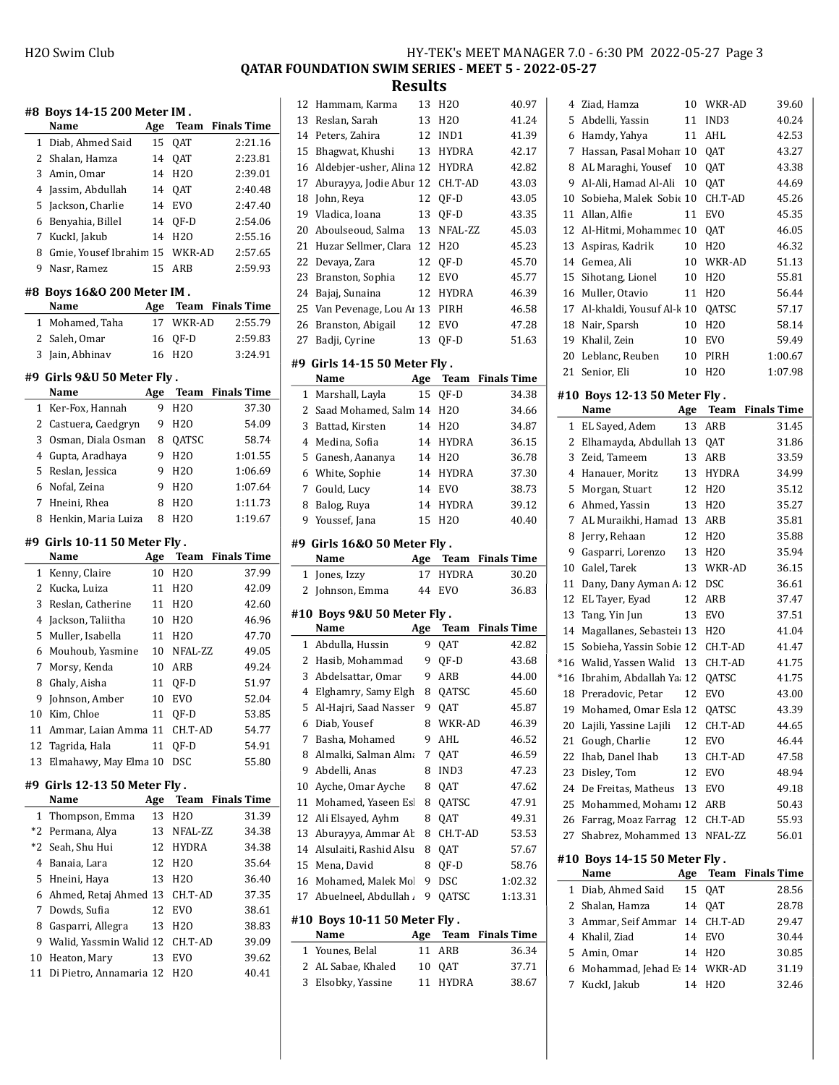QATAR FOUNDATION SWIM SERIES - MEET 5 - 2022-05-27

Results

| #8 | Boys 14-15 200 Meter IM.           |     |                            |                    |
|----|------------------------------------|-----|----------------------------|--------------------|
|    | Name                               | Age | <b>Team</b>                | <b>Finals Time</b> |
| 1  | Diab, Ahmed Said                   | 15  | QAT                        | 2:21.16            |
| 2  | Shalan, Hamza                      | 14  | QAT                        | 2:23.81            |
| 3  | Amin, Omar                         | 14  | H <sub>20</sub>            | 2:39.01            |
| 4  | Jassim, Abdullah                   | 14  | QAT                        | 2:40.48            |
| 5  | Jackson, Charlie                   | 14  | <b>EVO</b>                 | 2:47.40            |
| 6  | Benyahia, Billel                   | 14  | QF-D                       | 2:54.06            |
| 7  | KuckI, Jakub                       | 14  | H <sub>20</sub>            | 2:55.16            |
| 8  | Gmie, Yousef Ibrahim 15            |     | WKR-AD                     | 2:57.65            |
| 9  | Nasr, Ramez                        | 15  | ARB                        | 2:59.93            |
| #8 | <b>Boys 16&amp;0 200 Meter IM.</b> |     |                            |                    |
|    | Name                               | Age | Team                       | <b>Finals Time</b> |
| 1  | Mohamed, Taha                      | 17  | WKR-AD                     | 2:55.79            |
| 2  | Saleh, Omar                        | 16  | QF-D                       | 2:59.83            |
| 3  | Jain, Abhinav                      | 16  | H <sub>20</sub>            | 3:24.91            |
| #9 | Girls 9&U 50 Meter Fly.            |     |                            |                    |
|    | Name                               | Age | Team                       | <b>Finals Time</b> |
| 1  | Ker-Fox, Hannah                    | 9   | H <sub>20</sub>            | 37.30              |
| 2  | Castuera, Caedgryn                 | 9   | H <sub>20</sub>            | 54.09              |
| 3  | Osman, Diala Osman                 | 8   | QATSC                      | 58.74              |
| 4  | Gupta, Aradhaya                    | 9   | H <sub>20</sub>            | 1:01.55            |
| 5  | Reslan, Jessica                    | 9   | H <sub>20</sub>            | 1:06.69            |
| 6  | Nofal, Zeina                       | 9   | H <sub>20</sub>            | 1:07.64            |
| 7  | Hneini, Rhea                       | 8   | H <sub>20</sub>            | 1:11.73            |
| 8  | Henkin, Maria Luiza                | 8   | H <sub>20</sub>            | 1:19.67            |
|    |                                    |     |                            |                    |
| #9 | Girls 10-11 50 Meter Fly.          |     |                            |                    |
|    | Name                               | Age | <b>Team</b>                | <b>Finals Time</b> |
| 1  | Kenny, Claire                      | 10  | H <sub>20</sub>            | 37.99              |
| 2  | Kucka, Luiza                       | 11  | H <sub>20</sub>            | 42.09              |
| 3  | Reslan, Catherine                  | 11  | H <sub>20</sub>            | 42.60              |
| 4  | Jackson, Taliitha                  | 10  | H <sub>20</sub>            | 46.96              |
| 5  | Muller, Isabella                   | 11  | H <sub>20</sub><br>NFAL-ZZ | 47.70              |
| 6  | Mouhoub, Yasmine                   | 10  |                            | 49.05              |
| 7  |                                    |     |                            |                    |
|    | Morsy, Kenda                       | 10  | ARB                        | 49.24              |
| 8  | Ghaly, Aisha                       | 11  | QF-D                       | 51.97              |
| 9  | Johnson, Amber                     | 10  | <b>EVO</b>                 | 52.04              |
| 10 | Kim, Chloe                         | 11  | QF-D                       | 53.85              |
| 11 | Ammar, Laian Amma 11               |     | CH.T-AD                    | 54.77              |
| 12 | Tagrida, Hala                      | 11  | QF-D                       | 54.91              |
| 13 | Elmahawy, May Elma 10              |     | DSC                        | 55.80              |
|    | #9 Girls 12-13 50 Meter Fly .      |     |                            |                    |
|    | Name                               | Age | Team                       | <b>Finals Time</b> |
| 1  | Thompson, Emma                     | 13  | H <sub>20</sub>            | 31.39              |
| *2 | Permana, Alya                      | 13  | NFAL-ZZ                    | 34.38              |
| *2 | Seah, Shu Hui                      | 12  | HYDRA                      | 34.38              |
| 4  | Banaia, Lara                       | 12  | H <sub>20</sub>            | 35.64              |
| 5  | Hneini, Haya                       | 13  | H <sub>20</sub>            | 36.40              |
| 6  | Ahmed, Retaj Ahmed 13              |     | CH.T-AD                    | 37.35              |
| 7  | Dowds, Sufia                       | 12  | EVO                        | 38.61              |
| 8  | Gasparri, Allegra                  | 13  | H <sub>20</sub>            | 38.83              |
| 9  | Walid, Yassmin Walid 12            |     | CH.T-AD                    | 39.09              |
| 10 | Heaton, Mary                       | 13  | EVO                        | 39.62              |
| 11 | Di Pietro, Annamaria 12            |     | H <sub>20</sub>            | 40.41              |

| 12          | Hammam, Karma                        | 13        | H20                        | 40.97              |
|-------------|--------------------------------------|-----------|----------------------------|--------------------|
| 13          | Reslan, Sarah                        | 13        | H20                        | 41.24              |
| 14          | Peters, Zahira                       | 12        | IND1                       | 41.39              |
| 15          | Bhagwat, Khushi                      | 13        | <b>HYDRA</b>               | 42.17              |
| 16          | Aldebjer-usher, Alina 12             |           | HYDRA                      | 42.82              |
| 17          | Aburayya, Jodie Abur 12              |           | CH.T-AD                    | 43.03              |
| 18          | John, Reya                           | 12        | QF-D                       | 43.05              |
| 19          | Vladica, Ioana                       | 13        | QF-D                       | 43.35              |
| 20          | Aboulseoud, Salma                    | 13        | NFAL-ZZ                    | 45.03              |
| 21          | Huzar Sellmer, Clara                 | 12        | H20                        | 45.23              |
| 22          | Devaya, Zara                         | 12        | OF-D                       | 45.70              |
| 23          | Branston, Sophia                     | 12        | EVO                        | 45.77              |
| 24          | Bajaj, Sunaina                       | 12        | <b>HYDRA</b>               | 46.39              |
| 25          | Van Pevenage, Lou Ar 13              |           | PIRH                       | 46.58              |
| 26          | Branston, Abigail                    | 12        | <b>EVO</b>                 | 47.28              |
| 27          | Badji, Cyrine                        | 13        | QF-D                       | 51.63              |
|             |                                      |           |                            |                    |
|             | #9 Girls 14-15 50 Meter Fly.         |           |                            |                    |
|             | Name                                 | Age       | Team                       | <b>Finals Time</b> |
| 1           | Marshall, Layla                      | 15        | QF-D                       | 34.38              |
| 2           | Saad Mohamed, Salm 14                |           | H2O                        | 34.66              |
| 3           | Battad, Kirsten                      | 14        | H <sub>20</sub>            | 34.87              |
| 4           | Medina, Sofia                        | 14        | <b>HYDRA</b>               | 36.15              |
| 5           | Ganesh, Aananya                      | 14        | H <sub>20</sub>            | 36.78              |
| 6           | White, Sophie                        | 14        | <b>HYDRA</b>               | 37.30              |
| 7           | Gould, Lucy                          | 14        | <b>EVO</b>                 | 38.73              |
| 8           | Balog, Ruya                          | 14        | <b>HYDRA</b>               | 39.12              |
| 9           | Youssef, Jana                        | 15        | H <sub>20</sub>            | 40.40              |
|             | #9 Girls 16&0 50 Meter Fly.          |           |                            |                    |
|             |                                      |           |                            |                    |
|             |                                      |           |                            |                    |
|             | Name                                 | Age<br>17 | Team                       | <b>Finals Time</b> |
| 1<br>2      | Jones, Izzy                          | 44        | <b>HYDRA</b><br><b>EVO</b> | 30.20<br>36.83     |
|             | Johnson, Emma                        |           |                            |                    |
|             | #10 Boys 9&U 50 Meter Fly.           |           |                            |                    |
|             | Name                                 | Age       | Team                       | <b>Finals Time</b> |
| $\mathbf 1$ | Abdulla, Hussin                      | 9         | QAT                        | 42.82              |
| 2           | Hasib, Mohammad                      | 9         | QF-D                       | 43.68              |
| 3           | Abdelsattar, Omar                    | 9         | ARB                        | 44.00              |
| 4           | Elghamry, Samy Elgh                  | 8         | QATSC                      | 45.60              |
|             | 5 Al-Hajri, Saad Nasser              |           | 9 QAT                      | 45.87              |
| 6           | Diab, Yousef                         | 8         | WKR-AD                     | 46.39              |
| 7           | Basha, Mohamed                       | 9         | AHL                        | 46.52              |
| 8           | Almalki, Salman Alma                 | 7         | QAT                        | 46.59              |
| 9           | Abdelli, Anas                        | 8         | IND3                       | 47.23              |
| 10          | Ayche, Omar Ayche                    | 8         | QAT                        | 47.62              |
| 11          | Mohamed, Yaseen Es                   | 8         | QATSC                      | 47.91              |
| 12          | Ali Elsayed, Ayhm                    | 8         | QAT                        | 49.31              |
| 13          | Aburayya, Ammar Ab                   | 8         | CH.T-AD                    | 53.53              |
| 14          | Alsulaiti, Rashid Alsu               | 8         | QAT                        | 57.67              |
| 15          | Mena, David                          | 8         | QF-D                       | 58.76              |
| 16          | Mohamed, Malek Mol                   | 9         | <b>DSC</b>                 | 1:02.32            |
| 17          | Abuelneel, Abdullah .                | 9         | QATSC                      | 1:13.31            |
|             |                                      |           |                            |                    |
|             | #10 Boys 10-11 50 Meter Fly.<br>Name |           | Team                       | Finals Time        |
| 1           |                                      | Age<br>11 |                            | 36.34              |
| 2           | Younes, Belal<br>AL Sabae, Khaled    | 10        | ARB<br>QAT                 | 37.71              |

| 4        | Ziad, Hamza                                 | 10  | WKR-AD                     | 39.60              |
|----------|---------------------------------------------|-----|----------------------------|--------------------|
| 5        | Abdelli, Yassin                             | 11  | IND3                       | 40.24              |
| 6        | Hamdy, Yahya                                | 11  | AHL                        | 42.53              |
| 7        | Hassan, Pasal Mohan 10                      |     | QAT                        | 43.27              |
| 8        | AL Maraghi, Yousef                          | 10  | QAT                        | 43.38              |
| 9        | Al-Ali, Hamad Al-Ali                        | 10  | <b>OAT</b>                 | 44.69              |
| 10       | Sobieha, Malek Sobic 10                     |     | CH.T-AD                    | 45.26              |
| 11       | Allan, Alfie                                | 11  | <b>EVO</b>                 | 45.35              |
| 12       | Al-Hitmi, Mohammec 10                       |     | QAT                        | 46.05              |
| 13       | Aspiras, Kadrik                             | 10  | H2O                        | 46.32              |
| 14       | Gemea, Ali                                  | 10  | WKR-AD                     | 51.13              |
| 15       | Sihotang, Lionel                            | 10  | H <sub>20</sub>            | 55.81              |
| 16       | Muller, Otavio                              | 11  | H <sub>2</sub> O           | 56.44              |
| 17       | Al-khaldi, Yousuf Al-k 10                   |     | QATSC                      | 57.17              |
| 18       | Nair, Sparsh                                | 10  | H <sub>20</sub>            | 58.14              |
| 19       | Khalil, Zein                                | 10  | EVO                        | 59.49              |
| 20       | Leblanc, Reuben                             | 10  | PIRH                       | 1:00.67            |
| 21       | Senior, Eli                                 | 10  | H <sub>20</sub>            | 1:07.98            |
|          | #10 Boys 12-13 50 Meter Fly.                |     |                            |                    |
|          | Name                                        | Age | Team                       | <b>Finals Time</b> |
| 1        | EL Sayed, Adem                              | 13  | ARB                        | 31.45              |
| 2        | Elhamayda, Abdullah 13 QAT                  |     |                            | 31.86              |
| 3        | Zeid, Tameem                                | 13  | ARB                        | 33.59              |
| 4        | Hanauer, Moritz                             | 13  | HYDRA                      | 34.99              |
| 5        | Morgan, Stuart                              | 12  | H <sub>20</sub>            | 35.12              |
| 6        | Ahmed, Yassin                               | 13  | H <sub>20</sub>            | 35.27              |
| 7        | AL Muraikhi, Hamad                          | 13  | ARB                        | 35.81              |
| 8        | Jerry, Rehaan                               | 12  | H <sub>20</sub>            | 35.88              |
| 9        | Gasparri, Lorenzo                           | 13  | H <sub>20</sub>            | 35.94              |
| 10       | Galel, Tarek                                | 13  | WKR-AD                     | 36.15              |
| 11       | Dany, Dany Ayman A: 12                      |     | DSC                        | 36.61              |
| 12       | EL Tayer, Eyad                              | 12  | ARB                        | 37.47              |
| 13       | Tang, Yin Jun                               | 13  | <b>EVO</b>                 | 37.51              |
| 14       | Magallanes, Sebasteii 13                    |     | H <sub>20</sub>            | 41.04              |
| 15       | Sobieha, Yassin Sobie 12                    |     | CH.T-AD                    | 41.47              |
| $*16$    | Walid, Yassen Walid                         | 13  | CH.T-AD                    | 41.75              |
| *16      | Ibrahim, Abdallah Ya 12                     |     | QATSC                      | 41.75              |
| 18       | Preradovic, Petar                           | 12  | <b>EVO</b>                 | 43.00              |
|          | 19 Mohamed, Omar Esla 12                    |     | QATSC                      | 43.39              |
| 20       | Lajili, Yassine Lajili                      | 12  | CH.T-AD                    | 44.65              |
| 21       | Gough, Charlie                              | 12  | <b>EVO</b>                 | 46.44              |
| 22       | Ihab, Danel Ihab                            | 13  | CH.T-AD                    | 47.58              |
| 23       | Disley, Tom                                 | 12  | EVO                        | 48.94              |
|          | 24 De Freitas, Matheus                      | 13  | EVO                        | 49.18              |
| 25       | Mohammed, Mohamı 12                         |     | ARB                        | 50.43              |
| 26<br>27 | Farrag, Moaz Farrag<br>Shabrez, Mohammed 13 | 12  | CH.T-AD<br>NFAL-ZZ         | 55.93<br>56.01     |
|          | #10 Boys 14-15 50 Meter Fly .<br>Name       |     | Age Team                   | <b>Finals Time</b> |
| 1        | Diab, Ahmed Said                            | 15  | QAT                        | 28.56              |
| 2        | Shalan, Hamza                               | 14  | QAT                        | 28.78              |
| 3        | Ammar, Seif Ammar                           | 14  | CH.T-AD                    | 29.47              |
| 4        | Khalil, Ziad                                | 14  | EVO                        | 30.44              |
| 5        |                                             |     |                            |                    |
|          |                                             |     |                            |                    |
| 6        | Amin, Omar                                  | 14  | H <sub>2</sub> O<br>WKR-AD | 30.85              |
| 7        | Mohammad, Jehad Es 14<br>KuckI, Jakub       | 14  | H2O                        | 31.19<br>32.46     |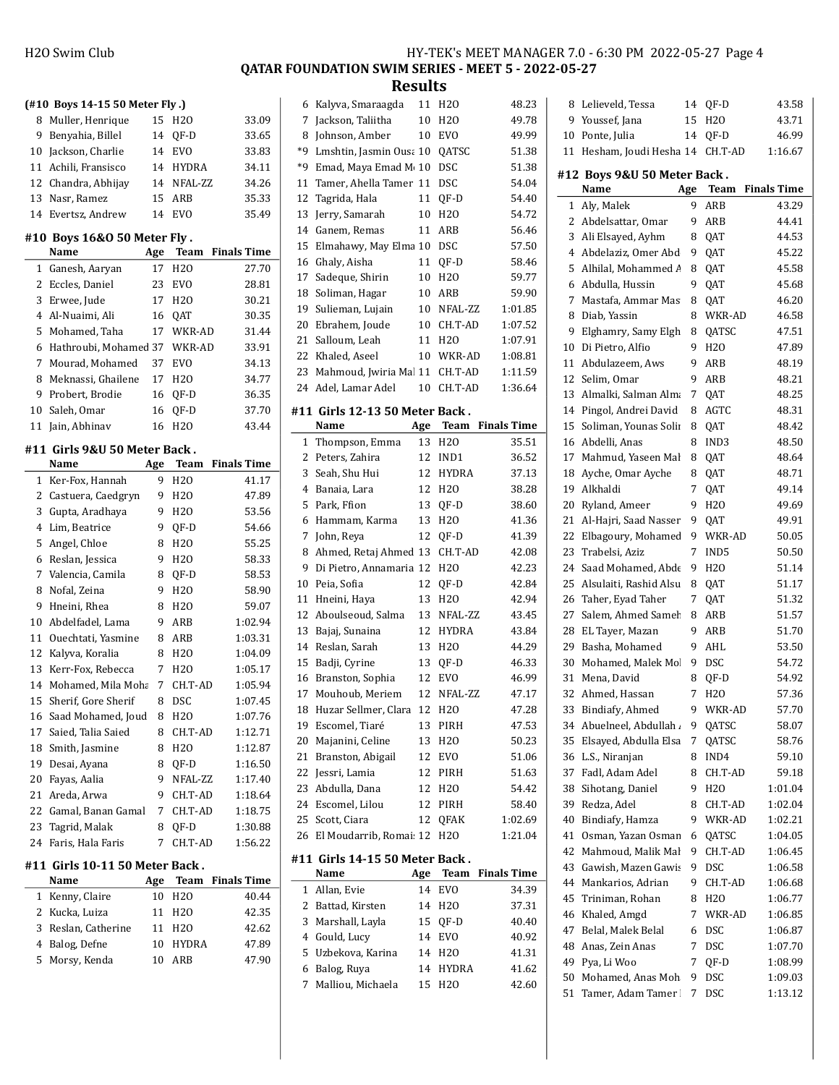$\overline{a}$ 

 $\overline{\phantom{a}}$ 

## H2O Swim Club HY-TEK's MEET MANAGER 7.0 - 6:30 PM 2022-05-27 Page 4

QATAR FOUNDATION SWIM SERIES - MEET 5 - 2022-05-27

|                | (#10 Boys 14-15 50 Meter Fly.)           |           |                    |                         |   |
|----------------|------------------------------------------|-----------|--------------------|-------------------------|---|
| 8              | Muller, Henrique                         | 15        | H <sub>20</sub>    | 33.09                   |   |
| 9              | Benyahia, Billel                         | 14        | QF-D               | 33.65                   |   |
| 10             | Jackson, Charlie                         |           | 14 EVO             | 33.83                   |   |
|                | 11 Achili, Fransisco                     |           | 14 HYDRA           | 34.11                   |   |
|                | 12 Chandra, Abhijay                      |           | 14 NFAL-ZZ         | 34.26                   |   |
| 13             | Nasr, Ramez                              | 15        | ARB                | 35.33                   |   |
|                | 14 Evertsz, Andrew                       | 14        | <b>EVO</b>         | 35.49                   |   |
|                | #10 Boys 16&0 50 Meter Fly .             |           |                    |                         |   |
|                | Name                                     | Age       | Team               | <b>Finals Time</b>      |   |
| 1              | Ganesh, Aaryan                           | 17        | H <sub>20</sub>    | 27.70                   |   |
| 2              | Eccles, Daniel                           | 23        | <b>EVO</b>         | 28.81                   |   |
| 3              | Erwee, Jude                              |           | 17 H <sub>20</sub> | 30.21                   |   |
|                | 4 Al-Nuaimi, Ali                         | 16        | QAT                | 30.35                   |   |
| 5              | Mohamed, Taha                            |           | 17 WKR-AD          | 31.44                   |   |
| 6              | Hathroubi, Mohamed 37                    |           | WKR-AD             | 33.91                   |   |
| 7              | Mourad, Mohamed                          | 37        | EVO                | 34.13                   |   |
| 8              | Meknassi, Ghailene                       | 17        | H2O                | 34.77                   |   |
| 9              | Probert, Brodie                          | 16        | QF-D               | 36.35                   |   |
| 10             | Saleh, Omar                              | 16        | QF-D               | 37.70                   | # |
| 11             | Jain, Abhinav                            | 16        | H20                | 43.44                   |   |
|                | #11 Girls 9&U 50 Meter Back.             |           |                    |                         |   |
|                | Name                                     | Age       |                    | <b>Team</b> Finals Time |   |
| 1              | Ker-Fox, Hannah                          | 9         | H <sub>20</sub>    | 41.17                   |   |
| $\overline{c}$ | Castuera, Caedgryn                       | 9         | H20                | 47.89                   |   |
| 3              | Gupta, Aradhaya                          | 9         | H <sub>20</sub>    | 53.56                   |   |
| 4              | Lim, Beatrice                            | 9         | QF-D               | 54.66                   |   |
| 5              | Angel, Chloe                             | 8         | H <sub>20</sub>    | 55.25                   |   |
| 6              | Reslan, Jessica                          | 9         | H <sub>20</sub>    | 58.33                   |   |
| 7              | Valencia, Camila                         | 8         | QF-D               | 58.53                   |   |
| 8              | Nofal, Zeina                             | 9         | H <sub>20</sub>    | 58.90                   |   |
| 9              | Hneini, Rhea                             | 8         | H <sub>20</sub>    | 59.07                   |   |
|                | 10 Abdelfadel, Lama                      | 9         | ARB                | 1:02.94                 |   |
|                | 11 Ouechtati, Yasmine                    | 8         | ARB                | 1:03.31                 |   |
| 12             | Kalyva, Koralia                          | 8         | H2O                | 1:04.09                 |   |
| 13             | Kerr-Fox, Rebecca                        | 7         | H <sub>20</sub>    | 1:05.17                 |   |
| 14             | Mohamed, Mila Moha                       | 7         | CH.T-AD            | 1:05.94                 |   |
|                | 15 Sherif, Gore Sherif                   |           | 8 DSC              | 1:07.45                 |   |
| 16             | Saad Mohamed, Joud                       | 8         | H2O                | 1:07.76                 |   |
| 17             | Saied, Talia Saied                       | 8         | CH.T-AD            | 1:12.71                 |   |
| 18             | Smith, Jasmine                           | 8         | H <sub>20</sub>    | 1:12.87                 |   |
| 19             | Desai, Ayana                             | 8         | QF-D               | 1:16.50                 |   |
| 20             | Fayas, Aalia                             | 9         | NFAL-ZZ            | 1:17.40                 |   |
| 21             | Areda, Arwa                              | 9         | CH.T-AD            | 1:18.64                 |   |
| 22             | Gamal, Banan Gamal                       | 7         | CH.T-AD            | 1:18.75                 |   |
| 23             | Tagrid, Malak                            | 8         | QF-D               | 1:30.88                 |   |
| 24             | Faris, Hala Faris                        | 7         | CH.T-AD            | 1:56.22                 |   |
|                |                                          |           |                    |                         | # |
|                | #11  Girls 10-11 50 Meter Back .<br>Name |           |                    | <b>Finals Time</b>      |   |
| 1              | Kenny, Claire                            | Age<br>10 | Team<br>H20        |                         |   |
| 2              | Kucka, Luiza                             | 11        |                    | 40.44<br>42.35          |   |
| 3              | Reslan, Catherine                        | 11        | H2O<br>H2O         | 42.62                   |   |
| 4              | Balog, Defne                             | 10        | HYDRA              | 47.89                   |   |
| 5              | Morsy, Kenda                             | 10        | ARB                | 47.90                   |   |
|                |                                          |           |                    |                         |   |
|                |                                          |           |                    |                         |   |

| 6  | Kalyva, Smaraagda               | 11     | H <sub>20</sub> | 48.23              |
|----|---------------------------------|--------|-----------------|--------------------|
| 7  | Jackson, Taliitha               | 10     | H <sub>20</sub> | 49.78              |
| 8  | Johnson, Amber                  | 10     | <b>EVO</b>      | 49.99              |
| *9 | Lmshtin, Jasmin Ousa 10         |        | QATSC           | 51.38              |
| *9 | Emad, Maya Emad M 10            |        | <b>DSC</b>      | 51.38              |
| 11 | Tamer, Ahella Tamer             | 11     | DSC             | 54.04              |
| 12 | Tagrida, Hala                   | 11     | QF-D            | 54.40              |
| 13 | Jerry, Samarah                  | 10     | H <sub>20</sub> | 54.72              |
| 14 | Ganem, Remas                    | 11     | ARB             | 56.46              |
| 15 | Elmahawy, May Elma 10           |        | DSC             | 57.50              |
| 16 | Ghaly, Aisha                    | 11     | QF-D            | 58.46              |
| 17 | Sadeque, Shirin                 | 10     | H <sub>20</sub> | 59.77              |
| 18 | Soliman, Hagar                  | 10     | ARB             | 59.90              |
| 19 | Sulieman, Lujain                | 10     | NFAL-ZZ         | 1:01.85            |
| 20 | Ebrahem, Joude                  | 10     | CH.T-AD         | 1:07.52            |
| 21 | Salloum, Leah                   | 11     | H <sub>20</sub> | 1:07.91            |
| 22 | Khaled, Aseel                   | 10     | WKR-AD          | 1:08.81            |
| 23 | Mahmoud, Jwiria Mal 11          |        | CH.T-AD         | 1:11.59            |
| 24 | Adel, Lamar Adel                | 10     | CH.T-AD         | 1:36.64            |
|    |                                 |        |                 |                    |
|    | #11 Girls 12-13 50 Meter Back . |        |                 |                    |
|    | Name                            |        | Age Team        | <b>Finals Time</b> |
| 1  | Thompson, Emma                  | 13     | H <sub>20</sub> | 35.51              |
| 2  | Peters, Zahira                  | 12     | IND1            | 36.52              |
| 3  | Seah, Shu Hui                   | 12     | <b>HYDRA</b>    | 37.13              |
| 4  | Banaia, Lara                    | 12     | H <sub>20</sub> | 38.28              |
| 5  | Park, Ffion                     | 13     | QF-D            | 38.60              |
| 6  | Hammam, Karma                   | 13     | H <sub>20</sub> | 41.36              |
| 7  | John, Reya                      | 12     | QF-D            | 41.39              |
| 8  | Ahmed, Retaj Ahmed 13           |        | CH.T-AD         | 42.08              |
| 9  | Di Pietro, Annamaria 12         |        | H <sub>20</sub> | 42.23              |
| 10 | Peia, Sofia                     | 12     | QF-D            | 42.84              |
| 11 | Hneini, Haya                    | 13     | H <sub>20</sub> | 42.94              |
| 12 | Aboulseoud, Salma               | 13     | NFAL-ZZ         | 43.45              |
| 13 | Bajaj, Sunaina                  | 12     | HYDRA           | 43.84              |
| 14 | Reslan, Sarah                   | 13     | H <sub>20</sub> | 44.29              |
| 15 | Badji, Cyrine                   | 13     | QF-D            | 46.33              |
| 16 | Branston, Sophia                | 12     | <b>EVO</b>      | 46.99              |
| 17 | Mouhoub, Meriem                 | 12     | NFAL-ZZ         | 47.17              |
| 18 | Huzar Sellmer, Clara            | $12\,$ | H <sub>20</sub> | 47.28              |
| 19 | Escomel, Tiaré                  | 13     | PIRH            | 47.53              |
| 20 | Majanini, Celine                | 13     | H <sub>20</sub> | 50.23              |
| 21 |                                 |        |                 | 51.06              |
| 22 | Branston, Abigail               | 12     | EVO             |                    |
|    | Jessri, Lamia                   | 12     | PIRH            | 51.63              |
| 23 | Abdulla, Dana                   | 12     | H <sub>20</sub> | 54.42              |
| 24 | Escomel, Lilou                  | 12     | PIRH            | 58.40              |
| 25 | Scott, Ciara                    | 12     | QFAK            | 1:02.69            |
| 26 | El Moudarrib, Romai: 12         |        | H <sub>20</sub> | 1:21.04            |
|    |                                 |        |                 |                    |
|    | #11 Girls 14-15 50 Meter Back.  |        |                 |                    |
|    | Name                            | Age    | <b>Team</b>     | <b>Finals Time</b> |
| 1  | Allan, Evie                     | 14     | <b>EVO</b>      | 34.39              |
| 2  | Battad, Kirsten                 | 14     | H <sub>20</sub> | 37.31              |
| 3  | Marshall, Layla                 | 15     | QF-D            | 40.40              |
| 4  | Gould, Lucy                     | 14     | <b>EVO</b>      | 40.92              |
| 5  | Uzbekova, Karina                | 14     | H <sub>20</sub> | 41.31              |
| 6  | Balog, Ruya                     | 14     | HYDRA           | 41.62              |
| 7  | Malliou, Michaela               | 15     | H <sub>20</sub> | 42.60              |

| 8              | Lelieveld, Tessa            | 14  | QF-D            | 43.58              |
|----------------|-----------------------------|-----|-----------------|--------------------|
| 9              | Youssef, Jana               | 15  | H <sub>20</sub> | 43.71              |
| 10             | Ponte, Julia                | 14  | QF-D            | 46.99              |
| 11             | Hesham, Joudi Hesha 14      |     | CH.T-AD         | 1:16.67            |
|                |                             |     |                 |                    |
|                | #12 Boys 9&U 50 Meter Back. |     |                 |                    |
|                | Name                        | Age | Team            | <b>Finals Time</b> |
| 1              | Aly, Malek                  | 9   | ARB             | 43.29              |
| 2              | Abdelsattar, Omar           | 9   | ARB             | 44.41              |
| 3              | Ali Elsayed, Ayhm           | 8   | QAT             | 44.53              |
| $\overline{4}$ | Abdelaziz, Omer Abd         | 9   | QAT             | 45.22              |
| 5              | Alhilal, Mohammed A         | 8   | QAT             | 45.58              |
| 6              | Abdulla, Hussin             | 9   | QAT             | 45.68              |
| 7              | Mastafa, Ammar Mas          | 8   | QAT             | 46.20              |
| 8              | Diab, Yassin                | 8   | WKR-AD          | 46.58              |
| 9              | Elghamry, Samy Elgh         | 8   | QATSC           | 47.51              |
| 10             | Di Pietro, Alfio            | 9   | H <sub>20</sub> | 47.89              |
| 11             | Abdulazeem, Aws             | 9   | ARB             | 48.19              |
| 12             | Selim, Omar                 | 9   | ARB             | 48.21              |
| 13             | Almalki, Salman Alma        | 7   | QAT             | 48.25              |
| 14             | Pingol, Andrei David        | 8   | AGTC            | 48.31              |
| 15             | Soliman, Younas Solin       | 8   | QAT             | 48.42              |
| 16             | Abdelli, Anas               | 8   | IND3            | 48.50              |
| 17             | Mahmud, Yaseen Mal          | 8   | QAT             | 48.64              |
| 18             | Ayche, Omar Ayche           | 8   | QAT             | 48.71              |
| 19             | Alkhaldi                    | 7   | QAT             | 49.14              |
| 20             | Ryland, Ameer               | 9   | H <sub>20</sub> | 49.69              |
| 21             | Al-Hajri, Saad Nasser       | 9   | QAT             | 49.91              |
| 22             | Elbagoury, Mohamed          | 9   | WKR-AD          | 50.05              |
| 23             | Trabelsi, Aziz              | 7   | IND5            | 50.50              |
| 24             | Saad Mohamed, Abde          | 9   | H <sub>20</sub> | 51.14              |
| 25             | Alsulaiti, Rashid Alsu      | 8   | QAT             | 51.17              |
| 26             | Taher, Eyad Taher           | 7   | QAT             | 51.32              |
| 27             | Salem, Ahmed Sameh          | 8   | ARB             | 51.57              |
| 28             | EL Tayer, Mazan             | 9   | ARB             | 51.70              |
| 29             | Basha, Mohamed              | 9   | AHL             | 53.50              |
| 30             | Mohamed, Malek Mol          | 9   | <b>DSC</b>      | 54.72              |
| 31             | Mena, David                 | 8   | QF-D            | 54.92              |
| 32             | Ahmed, Hassan               | 7   | H <sub>20</sub> | 57.36              |
|                | 33 Bindiafy, Ahmed          | 9   | WKR-AD          | 57.70              |
| 34             | Abuelneel, Abdullah         | 9   | QATSC           | 58.07              |
| 35             | Elsayed, Abdulla Elsa       | 7   | QATSC           | 58.76              |
| 36             | L.S., Niranjan              | 8   | IND4            | 59.10              |
| 37             | Fadl, Adam Adel             | 8   | CH.T-AD         | 59.18              |
| 38             | Sihotang, Daniel            | 9   | H2O             | 1:01.04            |
| 39             | Redza, Adel                 | 8   | CH.T-AD         | 1:02.04            |
| 40             | Bindiafy, Hamza             | 9   | WKR-AD          | 1:02.21            |
| 41             | Osman, Yazan Osman          | 6   | QATSC           | 1:04.05            |
| 42             | Mahmoud, Malik Mal          | 9   | CH.T-AD         | 1:06.45            |
| 43             | Gawish, Mazen Gawis         | 9   | DSC             | 1:06.58            |
| 44             | Mankarios, Adrian           | 9   | CH.T-AD         | 1:06.68            |
| 45             | Triniman, Rohan             | 8   | H20             | 1:06.77            |
| 46             | Khaled, Amgd                | 7   | WKR-AD          | 1:06.85            |
| 47             | Belal, Malek Belal          | 6   | DSC             | 1:06.87            |
| 48             | Anas, Zein Anas             | 7   | DSC             | 1:07.70            |
| 49             | Pya, Li Woo                 | 7   | QF-D            | 1:08.99            |
| 50             | Mohamed, Anas Moh           | 9   | DSC             | 1:09.03            |
| 51             | Tamer, Adam Tamer           | 7   |                 | 1:13.12            |
|                |                             |     | DSC             |                    |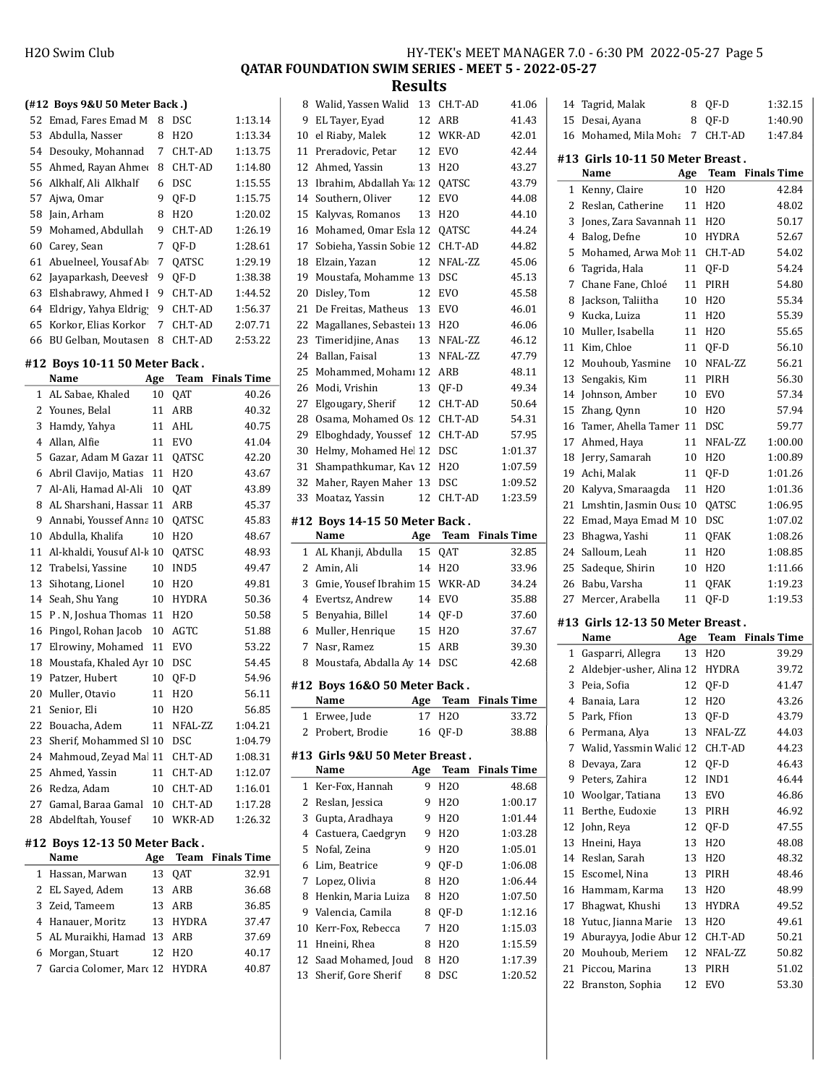QATAR FOUNDATION SWIM SERIES - MEET 5 - 2022-05-27

|          |                                               |           |                          | www.c              |                    |
|----------|-----------------------------------------------|-----------|--------------------------|--------------------|--------------------|
|          | (#12 Boys 9&U 50 Meter Back.)                 |           |                          |                    |                    |
| 52       | Emad, Fares Emad M                            | 8         | DSC                      | 1:13.14            |                    |
| 53       | Abdulla, Nasser                               | 8         | H20                      | 1:13.34            | 1 <sup>1</sup>     |
|          | 54 Desouky, Mohannad                          | 7         | CH.T-AD                  | 1:13.75            | $\mathbf{1}$       |
| 55       | Ahmed, Rayan Ahme                             | 8         | CH.T-AD                  | 1:14.80            | $\mathbf{1}$       |
| 56       | Alkhalf, Ali Alkhalf                          | 6         | <b>DSC</b>               | 1:15.55            | $\mathbf{1}$       |
| 57       | Ajwa, Omar                                    | 9         | QF-D                     | 1:15.75            | $1\cdot$           |
| 58       | Jain, Arham                                   | 8         | H20                      | 1:20.02            | $\mathbf{1}$       |
| 59       | Mohamed, Abdullah                             | 9         | CH.T-AD                  | 1:26.19            | $1\,$              |
| 60       | Carey, Sean                                   | 7         | QF-D                     | 1:28.61            | $1^{\circ}$        |
| 61       | Abuelneel, Yousaf Ab                          | 7         | QATSC                    | 1:29.19            | $\mathbf{1}$       |
| 62       | Jayaparkash, Deevesl                          | 9         | QF-D                     | 1:38.38            | $1^{\prime}$       |
| 63       | Elshabrawy, Ahmed I                           | 9         | CH.T-AD                  | 1:44.52            | $\mathbf{z}$       |
|          | 64 Eldrigy, Yahya Eldrig                      | 9         | CH.T-AD                  | 1:56.37            | 2                  |
| 65       | Korkor, Elias Korkor                          | 7         | CH.T-AD                  | 2:07.71            | $\overline{2}$     |
| 66       | BU Gelban, Moutasen                           | 8         | CH.T-AD                  | 2:53.22            | $\mathbf{Z}$       |
|          | #12 Boys 10-11 50 Meter Back.                 |           |                          |                    | 2.                 |
|          | Name                                          | Age       | Team                     | <b>Finals Time</b> | 2.<br>$\mathbf{z}$ |
| 1        | AL Sabae, Khaled                              | 10        | QAT                      | 40.26              | $2^{\circ}$        |
| 2        | Younes, Belal                                 | 11        | ARB                      | 40.32              | $\mathbf{2}$       |
| 3        | Hamdy, Yahya                                  | 11        | AHL                      | 40.75              | $2^{\circ}$        |
| 4        | Allan, Alfie                                  | 11        | <b>EVO</b>               | 41.04              | 3                  |
| 5        | Gazar, Adam M Gazar 11                        |           | QATSC                    | 42.20              | 3                  |
| 6        | Abril Clavijo, Matias                         | 11        | H <sub>20</sub>          | 43.67              | 3.                 |
| 7        | Al-Ali, Hamad Al-Ali                          | 10        | QAT                      | 43.89              | 3                  |
| 8        | AL Sharshani, Hassar 11                       |           | ARB                      | 45.37              |                    |
| 9        | Annabi, Youssef Anna 10                       |           | QATSC                    | 45.83              | #1                 |
| 10       | Abdulla, Khalifa                              | 10        | H <sub>20</sub>          | 48.67              |                    |
| 11       | Al-khaldi, Yousuf Al-k 10                     |           | QATSC                    | 48.93              |                    |
| 12       | Trabelsi, Yassine                             | 10        | IND5                     | 49.47              |                    |
| 13       | Sihotang, Lionel                              | 10        | H <sub>20</sub>          | 49.81              |                    |
| 14<br>15 | Seah, Shu Yang                                | 10        | HYDRA<br>H <sub>20</sub> | 50.36              |                    |
| 16       | P. N, Joshua Thomas 11<br>Pingol, Rohan Jacob | 10        | AGTC                     | 50.58<br>51.88     |                    |
| 17       | Elrowiny, Mohamed                             | 11        | EVO                      | 53.22              |                    |
| 18       | Moustafa, Khaled Ayr 10                       |           | DSC                      | 54.45              |                    |
| 19       | Patzer, Hubert                                | 10        | QF-D                     | 54.96              |                    |
| 20       | Muller, Otavio                                | 11        | H2O                      | 56.11              | #1                 |
| 21       | Senior, Eli                                   | 10        | H <sub>20</sub>          | 56.85              |                    |
| 22       | Bouacha, Adem                                 | 11        | NFAL-ZZ                  | 1:04.21            |                    |
| 23       | Sherif, Mohammed Sl 10                        |           | DSC                      | 1:04.79            |                    |
| 24       | Mahmoud, Zeyad Mal 11 CH.T-AD                 |           |                          | 1:08.31            | #1                 |
| 25       | Ahmed, Yassin                                 | 11        | CH.T-AD                  | 1:12.07            |                    |
| 26       | Redza, Adam                                   | 10        | CH.T-AD                  | 1:16.01            |                    |
| 27       | Gamal, Baraa Gamal                            |           | 10 CH.T-AD               | 1:17.28            |                    |
| 28       | Abdelftah, Yousef                             | 10        | WKR-AD                   | 1:26.32            |                    |
|          | #12 Boys 12-13 50 Meter Back.<br>Name         |           | <b>Team</b>              | <b>Finals Time</b> |                    |
| 1        | Hassan, Marwan                                | Age<br>13 | QAT                      | 32.91              |                    |
| 2        | EL Sayed, Adem                                | 13        | ARB                      | 36.68              |                    |
| 3        | Zeid, Tameem                                  | 13        | ARB                      | 36.85              |                    |
| 4        | Hanauer, Moritz                               | 13        | <b>HYDRA</b>             | 37.47              |                    |
| 5        | AL Muraikhi, Hamad 13                         |           | ARB                      | 37.69              | 1 <sup>1</sup>     |
| 6        | Morgan, Stuart                                | 12        | H2O                      | 40.17              | $\mathbf{1}$       |
| 7        | Garcia Colomer, Marc 12                       |           | HYDRA                    | 40.87              | $\mathbf{1}$       |
|          |                                               |           |                          |                    | $\mathbf{1}$       |
|          |                                               |           |                          |                    |                    |
|          |                                               |           |                          |                    |                    |
|          |                                               |           |                          |                    |                    |

| 8           | Walid, Yassen Walid                  | 13  | CH.T-AD         | 41.06              |
|-------------|--------------------------------------|-----|-----------------|--------------------|
| 9           | EL Tayer, Eyad                       | 12  | ARB             | 41.43              |
| 10          | el Riaby, Malek                      | 12  | WKR-AD          | 42.01              |
| 11          | Preradovic, Petar                    | 12  | EVO             | 42.44              |
| 12          | Ahmed, Yassin                        | 13  | H <sub>20</sub> | 43.27              |
| 13          | Ibrahim, Abdallah Ya. 12             |     | QATSC           | 43.79              |
| 14          | Southern, Oliver                     | 12  | <b>EVO</b>      | 44.08              |
| 15          | Kalyvas, Romanos                     | 13  | H <sub>20</sub> | 44.10              |
| 16          | Mohamed, Omar Esla 12                |     | QATSC           | 44.24              |
| 17          | Sobieha, Yassin Sobie 12             |     | CH.T-AD         | 44.82              |
| 18          | Elzain, Yazan                        | 12  | NFAL-ZZ         | 45.06              |
| 19          | Moustafa, Mohamme 13                 |     | <b>DSC</b>      | 45.13              |
| 20          | Disley, Tom                          | 12  | <b>EVO</b>      | 45.58              |
| 21          | De Freitas, Matheus                  | 13  | <b>EVO</b>      | 46.01              |
| 22          | Magallanes, Sebasteiı 13             |     | H <sub>20</sub> | 46.06              |
| 23          | Timeridjine, Anas                    | 13  | NFAL-ZZ         | 46.12              |
| 24          | Ballan, Faisal                       | 13  | NFAL-ZZ         | 47.79              |
| 25          | Mohammed, Mohamı 12                  |     | ARB             | 48.11              |
| 26          | Modi, Vrishin                        | 13  | QF-D            | 49.34              |
| 27          | Elgougary, Sherif                    | 12  | CH.T-AD         | 50.64              |
| 28          | Osama, Mohamed Os 12                 |     | CH.T-AD         | 54.31              |
| 29          | Elboghdady, Youssef 12               |     | CH.T-AD         | 57.95              |
| 30          | Helmy, Mohamed Hel 12                |     | DSC             | 1:01.37            |
| 31          | Shampathkumar, Kav 12                |     | H <sub>20</sub> | 1:07.59            |
| 32          | Maher, Rayen Maher 13                |     | DSC             | 1:09.52            |
| 33          | Moataz, Yassin                       | 12  | CH.T-AD         | 1:23.59            |
|             |                                      |     |                 |                    |
|             | #12 Boys 14-15 50 Meter Back.        |     |                 |                    |
|             | Name                                 | Age | Team            | <b>Finals Time</b> |
|             |                                      |     |                 |                    |
| 1           | AL Khanji, Abdulla                   | 15  | QAT             | 32.85              |
| 2           | Amin, Ali                            | 14  | H <sub>20</sub> | 33.96              |
| 3           | Gmie, Yousef Ibrahim 15              |     | WKR-AD          | 34.24              |
| 4           | Evertsz, Andrew                      | 14  | <b>EVO</b>      | 35.88              |
| 5           | Benyahia, Billel                     | 14  | QF-D            | 37.60              |
| 6           | Muller, Henrique                     | 15  | H <sub>20</sub> | 37.67              |
| 7           | Nasr, Ramez                          | 15  | ARB             | 39.30              |
| 8           | Moustafa, Abdalla Ay 14              |     | <b>DSC</b>      | 42.68              |
|             |                                      |     |                 |                    |
|             | #12 Boys 16&0 50 Meter Back.<br>Name |     |                 |                    |
|             |                                      |     | Age Team        | <b>Finals Time</b> |
| $\mathbf 1$ | Erwee, Jude                          | 17  | H <sub>20</sub> | 33.72              |
| 2           | Probert, Brodie                      | 16  | QF-D            | 38.88              |
|             | #13  Girls 9&U 50 Meter Breast .     |     |                 |                    |
|             | Name                                 | Age | Team            | <b>Finals Time</b> |
| 1           | Ker-Fox, Hannah                      | 9   | H2O             | 48.68              |
| 2           | Reslan, Jessica                      | 9   | H <sub>20</sub> | 1:00.17            |
| 3           | Gupta, Aradhaya                      | 9   | H <sub>20</sub> | 1:01.44            |
| 4           | Castuera, Caedgryn                   | 9   | H <sub>20</sub> | 1:03.28            |
| 5           | Nofal, Zeina                         | 9   | H <sub>20</sub> | 1:05.01            |
| 6           | Lim, Beatrice                        | 9   | QF-D            | 1:06.08            |
| 7           | Lopez, Olivia                        | 8   | H2O             | 1:06.44            |
| 8           | Henkin, Maria Luiza                  | 8   | H2O             | 1:07.50            |
| 9           | Valencia, Camila                     | 8   | QF-D            | 1:12.16            |
| 10          | Kerr-Fox, Rebecca                    | 7   | H2O             | 1:15.03            |
| 11          | Hneini, Rhea                         | 8   | H2O             | 1:15.59            |
| 12          | Saad Mohamed, Joud                   | 8   | H2O             | 1:17.39            |
| 13          | Sherif, Gore Sherif                  | 8   | DSC             | 1:20.52            |

|              | 14 Tagrid, Malak                             | 8        | OF-D                          | 1:32.15            |
|--------------|----------------------------------------------|----------|-------------------------------|--------------------|
| 15           | Desai, Ayana                                 | 8        | QF-D                          | 1:40.90            |
|              | 16 Mohamed, Mila Moha                        | 7        | CH.T-AD                       | 1:47.84            |
|              |                                              |          |                               |                    |
|              | #13 Girls 10-11 50 Meter Breast.<br>Name     | Age      | Team                          | <b>Finals Time</b> |
| $1\,$        | Kenny, Claire                                | 10       | H <sub>20</sub>               | 42.84              |
| 2            | Reslan, Catherine                            | 11       | H <sub>20</sub>               | 48.02              |
| 3            | Jones, Zara Savannah 11                      |          | H <sub>20</sub>               | 50.17              |
| 4            | Balog, Defne                                 | 10       | <b>HYDRA</b>                  | 52.67              |
| 5            | Mohamed, Arwa Moh 11                         |          | CH.T-AD                       | 54.02              |
| 6            | Tagrida, Hala                                | 11       | QF-D                          | 54.24              |
| 7            | Chane Fane, Chloé                            | 11       | PIRH                          | 54.80              |
| 8            | Jackson, Taliitha                            | 10       | H <sub>20</sub>               | 55.34              |
| 9            | Kucka, Luiza                                 | 11       | H <sub>20</sub>               | 55.39              |
| 10           | Muller, Isabella                             | 11       | H <sub>20</sub>               | 55.65              |
|              | 11 Kim, Chloe                                |          |                               | 56.10              |
| 12           | Mouhoub, Yasmine                             | 11<br>10 | QF-D<br>NFAL-ZZ               | 56.21              |
| 13           | Sengakis, Kim                                | 11       | PIRH                          | 56.30              |
| 14           | Johnson, Amber                               | 10       | <b>EVO</b>                    | 57.34              |
| 15           | Zhang, Qynn                                  | 10       |                               | 57.94              |
| 16           | Tamer, Ahella Tamer 11                       |          | H <sub>20</sub><br><b>DSC</b> | 59.77              |
|              |                                              |          |                               | 1:00.00            |
| 17<br>18     | Ahmed, Haya                                  | 11<br>10 | NFAL-ZZ<br>H <sub>20</sub>    | 1:00.89            |
|              | Jerry, Samarah                               | 11       |                               |                    |
| 19           | Achi, Malak                                  |          | QF-D                          | 1:01.26            |
| 20<br>21     | Kalyva, Smaraagda<br>Lmshtin, Jasmin Ousa 10 | 11       | H <sub>20</sub>               | 1:01.36<br>1:06.95 |
|              |                                              |          | QATSC                         |                    |
| 22           | Emad, Maya Emad M 10                         |          | DSC                           | 1:07.02            |
| 23<br>24     | Bhagwa, Yashi                                | 11       | QFAK<br>H <sub>20</sub>       | 1:08.26<br>1:08.85 |
| 25           | Salloum, Leah<br>Sadeque, Shirin             | 11       |                               | 1:11.66            |
| 26           | Babu, Varsha                                 | 10<br>11 | H <sub>20</sub>               | 1:19.23            |
| 27           | Mercer, Arabella                             | 11       | QFAK<br>QF-D                  | 1:19.53            |
|              |                                              |          |                               |                    |
|              | #13 Girls 12-13 50 Meter Breast.<br>Name     | Age      | <b>Team</b> Finals Time       |                    |
| $\mathbf{1}$ | Gasparri, Allegra                            | 13       | H <sub>20</sub>               | 39.29              |
|              | 2 Aldebjer-usher, Alina 12 HYDRA             |          |                               | 39.72              |
| 3            | Peia, Sofia                                  | 12       | QF-D                          | 41.47              |
| 4            | Banaia, Lara                                 | 12       | H <sub>20</sub>               | 43.26              |
| 5            | Park, Ffion                                  | 13       | QF-D                          | 43.79              |
| 6            | Permana, Alya                                | 13       | NFAL-ZZ                       | 44.03              |
| 7            | Walid, Yassmin Walid 12                      |          | CH.T-AD                       | 44.23              |
| 8            | Devaya, Zara                                 | 12       | QF-D                          | 46.43              |
| 9            | Peters, Zahira                               | 12       | IND1                          | 46.44              |
| 10           | Woolgar, Tatiana                             | 13       | EVO                           | 46.86              |
| 11           | Berthe, Eudoxie                              | 13       | PIRH                          | 46.92              |
| 12           | John, Reya                                   | 12       | QF-D                          | 47.55              |
| 13           | Hneini, Haya                                 | 13       | H <sub>20</sub>               | 48.08              |
| 14           | Reslan, Sarah                                | 13       | H2O                           | 48.32              |
| 15           | Escomel, Nina                                | 13       | PIRH                          | 48.46              |
| 16           | Hammam, Karma                                | 13       | H <sub>20</sub>               | 48.99              |
| 17           | Bhagwat, Khushi                              | 13       | <b>HYDRA</b>                  | 49.52              |
| 18           | Yutuc, Jianna Marie                          | 13       | H <sub>20</sub>               | 49.61              |
| 19           | Aburayya, Jodie Abur 12                      |          | CH.T-AD                       | 50.21              |
| 20           | Mouhoub, Meriem                              | 12       | NFAL-ZZ                       | 50.82              |
| 21           |                                              |          |                               |                    |
|              | Piccou, Marina                               | 13       | PIRH                          | 51.02              |
| 22           | Branston, Sophia                             | 12       | EVO                           | 53.30              |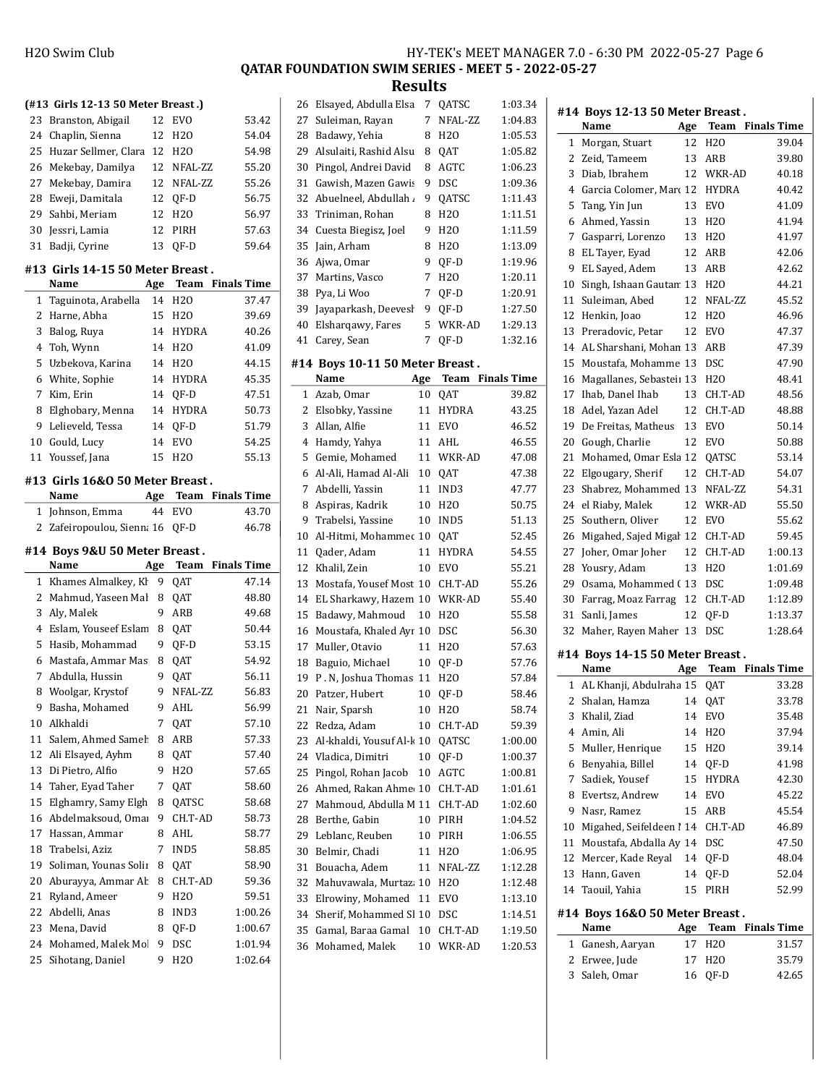QATAR FOUNDATION SWIM SERIES - MEET 5 - 2022-05-27

Results

|                                          | (#13 Girls 12-13 50 Meter Breast.)       |     |                 |                      |  |  |
|------------------------------------------|------------------------------------------|-----|-----------------|----------------------|--|--|
|                                          | 23 Branston, Abigail                     | 12  | <b>EVO</b>      | 53.42                |  |  |
|                                          | 24 Chaplin, Sienna                       | 12  | H <sub>20</sub> | 54.04                |  |  |
| 25                                       | Huzar Sellmer, Clara                     | 12  | H <sub>20</sub> | 54.98                |  |  |
|                                          | 26 Mekebay, Damilya                      | 12  | NFAL-ZZ         | 55.20                |  |  |
| 27                                       | Mekebay, Damira                          | 12  | NFAL-ZZ         | 55.26                |  |  |
| 28                                       | Eweji, Damitala                          | 12  | QF-D            | 56.75                |  |  |
| 29                                       | Sahbi, Meriam                            | 12  | H20             | 56.97                |  |  |
| 30                                       | Jessri, Lamia                            | 12  | PIRH            | 57.63                |  |  |
| 31                                       | Badji, Cyrine                            | 13  | OF-D            | 59.64                |  |  |
|                                          |                                          |     |                 |                      |  |  |
|                                          | #13 Girls 14-15 50 Meter Breast.<br>Name |     |                 | Age Team Finals Time |  |  |
| 1                                        | Taguinota, Arabella                      | 14  | H <sub>20</sub> | 37.47                |  |  |
| 2                                        | Harne, Abha                              | 15  | H2O             | 39.69                |  |  |
|                                          |                                          |     |                 |                      |  |  |
| 3                                        | Balog, Ruya                              | 14  | <b>HYDRA</b>    | 40.26                |  |  |
| 4                                        | Toh, Wynn                                | 14  | H <sub>20</sub> | 41.09                |  |  |
| 5                                        | Uzbekova, Karina                         | 14  | H20             | 44.15                |  |  |
|                                          | 6 White, Sophie                          | 14  | <b>HYDRA</b>    | 45.35                |  |  |
| 7                                        | Kim, Erin                                | 14  | OF-D            | 47.51                |  |  |
| 8                                        | Elghobary, Menna                         | 14  | HYDRA           | 50.73                |  |  |
| 9                                        | Lelieveld, Tessa                         | 14  | QF-D            | 51.79                |  |  |
| 10                                       | Gould, Lucy                              | 14  | EVO             | 54.25                |  |  |
| 11                                       | Youssef, Jana                            | 15  | H20             | 55.13                |  |  |
|                                          | #13 Girls 16&0 50 Meter Breast.          |     |                 |                      |  |  |
|                                          | Name                                     |     |                 | Age Team Finals Time |  |  |
| 1                                        | Johnson, Emma                            | 44  | EVO             | 43.70                |  |  |
|                                          |                                          |     |                 |                      |  |  |
| $\mathbf{2}$<br>Zafeiropoulou, Sienna 16 |                                          |     |                 |                      |  |  |
|                                          |                                          |     | QF-D            | 46.78                |  |  |
|                                          | #14 Boys 9&U 50 Meter Breast.            |     |                 |                      |  |  |
|                                          | Name                                     | Age |                 | Team Finals Time     |  |  |
| 1                                        | Khames Almalkey, Kl                      | 9   | QAT             | 47.14                |  |  |
| 2                                        | Mahmud, Yaseen Mal                       | 8   | QAT             | 48.80                |  |  |
| 3                                        | Aly, Malek                               | 9   | ARB             | 49.68                |  |  |
| 4                                        | Eslam, Youseef Eslam                     | 8   | QAT             | 50.44                |  |  |
| 5                                        | Hasib, Mohammad                          | 9   | QF-D            | 53.15                |  |  |
| 6                                        | Mastafa, Ammar Mas                       | 8   | QAT             | 54.92                |  |  |
| 7                                        | Abdulla, Hussin                          | 9   | QAT             | 56.11                |  |  |
| 8                                        | Woolgar, Krystof                         | 9   | NFAL-ZZ         | 56.83                |  |  |
|                                          | 9 Basha, Mohamed                         |     | 9 AHL           | 56.99                |  |  |
| 10                                       | Alkhaldi                                 | 7   | QAT             | 57.10                |  |  |
| 11                                       | Salem, Ahmed Sameh                       | 8   | ARB             | 57.33                |  |  |
| 12                                       | Ali Elsayed, Ayhm                        | 8   | QAT             | 57.40                |  |  |
| 13                                       | Di Pietro, Alfio                         | 9   | H <sub>20</sub> | 57.65                |  |  |
| 14                                       | Taher, Eyad Taher                        | 7   | QAT             | 58.60                |  |  |
| 15                                       | Elghamry, Samy Elgh                      | 8   | QATSC           | 58.68                |  |  |
| 16                                       | Abdelmaksoud, Omar                       | 9   | CH.T-AD         | 58.73                |  |  |
| 17                                       | Hassan, Ammar                            | 8   | AHL             | 58.77                |  |  |
| 18                                       | Trabelsi, Aziz                           | 7   | IND5            | 58.85                |  |  |
| 19                                       | Soliman, Younas Solii                    | 8   | QAT             | 58.90                |  |  |
| 20                                       | Aburayya, Ammar Ab                       | 8   | CH.T-AD         | 59.36                |  |  |
| 21                                       | Ryland, Ameer                            | 9   | H2O             | 59.51                |  |  |
| 22                                       | Abdelli, Anas                            | 8   | IND3            | 1:00.26              |  |  |
| 23                                       | Mena, David                              | 8   | QF-D            | 1:00.67              |  |  |
| 24                                       | Mohamed, Malek Mo.                       | 9   | DSC             | 1:01.94              |  |  |

| 26           | Elsayed, Abdulla Elsa           | 7   | QATSC           | 1:03.34            |
|--------------|---------------------------------|-----|-----------------|--------------------|
| 27           | Suleiman, Rayan                 | 7   | NFAL-ZZ         | 1:04.83            |
| 28           | Badawy, Yehia                   | 8   | H <sub>20</sub> | 1:05.53            |
| 29           | Alsulaiti, Rashid Alsu          | 8   | QAT             | 1:05.82            |
| 30           | Pingol, Andrei David            | 8   | <b>AGTC</b>     | 1:06.23            |
| 31           | Gawish, Mazen Gawis             | 9   | <b>DSC</b>      | 1:09.36            |
| 32           | Abuelneel, Abdullah .           | 9   | QATSC           | 1:11.43            |
| 33           | Triniman, Rohan                 | 8   | H <sub>20</sub> | 1:11.51            |
| 34           | Cuesta Biegisz, Joel            | 9   | H <sub>20</sub> | 1:11.59            |
| 35           | Jain, Arham                     | 8   | H <sub>20</sub> | 1:13.09            |
| 36           | Ajwa, Omar                      | 9   | QF-D            | 1:19.96            |
| 37           | Martins, Vasco                  | 7   | H <sub>20</sub> | 1:20.11            |
| 38           | Pya, Li Woo                     | 7   | QF-D            | 1:20.91            |
| 39           | Jayaparkash, Deevesl            | 9   | QF-D            | 1:27.50            |
| 40           | Elsharqawy, Fares               | 5   | WKR-AD          | 1:29.13            |
| 41           | Carey, Sean                     | 7   | QF-D            | 1:32.16            |
|              |                                 |     |                 |                    |
|              | #14 Boys 10-11 50 Meter Breast. |     |                 |                    |
|              | Name                            | Age | Team            | <b>Finals Time</b> |
| $\mathbf{1}$ | Azab, Omar                      | 10  | QAT             | 39.82              |
| 2            | Elsobky, Yassine                | 11  | HYDRA           | 43.25              |
| 3            | Allan, Alfie                    | 11  | <b>EVO</b>      | 46.52              |
| 4            | Hamdy, Yahya                    | 11  | AHL             | 46.55              |
| 5            | Gemie, Mohamed                  | 11  | WKR-AD          | 47.08              |
| 6            | Al-Ali, Hamad Al-Ali            | 10  | QAT             | 47.38              |
| 7            | Abdelli, Yassin                 | 11  | IND3            | 47.77              |
| 8            | Aspiras, Kadrik                 | 10  | H <sub>20</sub> | 50.75              |
| 9            | Trabelsi, Yassine               | 10  | IND5            | 51.13              |
| 10           | Al-Hitmi, Mohammec 10           |     | QAT             | 52.45              |
| 11           | Qader, Adam                     | 11  | <b>HYDRA</b>    | 54.55              |
| 12           | Khalil, Zein                    | 10  | EVO             | 55.21              |
| 13           | Mostafa, Yousef Most 10         |     | CH.T-AD         | 55.26              |
| 14           | EL Sharkawy, Hazem 10           |     | WKR-AD          | 55.40              |
| 15           | Badawy, Mahmoud                 | 10  | H <sub>20</sub> | 55.58              |
| 16           | Moustafa, Khaled Ayr 10         |     | DSC             | 56.30              |
| 17           | Muller, Otavio                  | 11  | H20             | 57.63              |
| 18           | Baguio, Michael                 | 10  | QF-D            | 57.76              |
| 19           | P. N, Joshua Thomas 11          |     | H <sub>20</sub> | 57.84              |
| 20           | Patzer, Hubert                  | 10  | QF-D            | 58.46              |
| 21           | Nair, Sparsh                    | 10  | H <sub>20</sub> | 58.74              |
| 22           | Redza, Adam                     | 10  | CH.T-AD         | 59.39              |
| 23           | Al-khaldi, Yousuf Al-k 10       |     | QATSC           | 1:00.00            |
| 24           | Vladica, Dimitri                | 10  | QF-D            | 1:00.37            |
| 25           | Pingol, Rohan Jacob             | 10  | AGTC            | 1:00.81            |
| 26           | Ahmed, Rakan Ahme 10            |     | CH.T-AD         | 1:01.61            |
| 27           | Mahmoud, Abdulla M 11           |     | CH.T-AD         | 1:02.60            |
| 28           | Berthe, Gabin                   | 10  | PIRH            | 1:04.52            |
| 29           | Leblanc, Reuben                 | 10  | PIRH            | 1:06.55            |
| 30           | Belmir, Chadi                   | 11  | H <sub>20</sub> | 1:06.95            |
| 31           | Bouacha, Adem                   | 11  | NFAL-ZZ         | 1:12.28            |
| 32           | Mahuvawala, Murtaz 10           |     | H <sub>20</sub> | 1:12.48            |
| 33           | Elrowiny, Mohamed               | 11  | EVO             | 1:13.10            |
| 34           | Sherif, Mohammed Sl 10          |     | DSC             | 1:14.51            |
| 35           | Gamal, Baraa Gamal              | 10  | CH.T-AD         | 1:19.50            |
| 36           | Mohamed, Malek                  | 10  | WKR-AD          | 1:20.53            |
|              |                                 |     |                 |                    |

 $\overline{a}$ 

|              | #14 Boys 12-13 50 Meter Breast. |     |                  |                    |
|--------------|---------------------------------|-----|------------------|--------------------|
|              | Name                            | Age | Team             | <b>Finals Time</b> |
| 1            | Morgan, Stuart                  | 12  | H20              | 39.04              |
| 2            | Zeid, Tameem                    | 13  | ARB              | 39.80              |
| 3            | Diab, Ibrahem                   | 12  | WKR-AD           | 40.18              |
| 4            | Garcia Colomer, Marc 12         |     | HYDRA            | 40.42              |
| 5            | Tang, Yin Jun                   | 13  | <b>EVO</b>       | 41.09              |
| 6            | Ahmed, Yassin                   | 13  | H <sub>2</sub> O | 41.94              |
| 7            | Gasparri, Lorenzo               | 13  | H <sub>20</sub>  | 41.97              |
| 8            | EL Tayer, Eyad                  | 12  | ARB              | 42.06              |
| 9            | EL Sayed, Adem                  | 13  | ARB              | 42.62              |
| 10           | Singh, Ishaan Gautan 13         |     | H <sub>20</sub>  | 44.21              |
| 11           | Suleiman, Abed                  | 12  | NFAL-ZZ          | 45.52              |
| 12           | Henkin, Joao                    | 12  | H <sub>20</sub>  | 46.96              |
| 13           | Preradovic, Petar               | 12  | EVO              | 47.37              |
| 14           | AL Sharshani, Mohan 13          |     | ARB              | 47.39              |
| 15           | Moustafa, Mohamme 13            |     | DSC              | 47.90              |
| 16           | Magallanes, Sebasteii 13        |     | H <sub>20</sub>  | 48.41              |
| 17           | Ihab, Danel Ihab                | 13  | CH.T-AD          | 48.56              |
| 18           | Adel, Yazan Adel                | 12  | CH.T-AD          | 48.88              |
| 19           | De Freitas, Matheus             | 13  | EVO              | 50.14              |
| 20           | Gough, Charlie                  | 12  | <b>EVO</b>       | 50.88              |
| 21           | Mohamed, Omar Esla 12           |     | QATSC            | 53.14              |
| 22           | Elgougary, Sherif               | 12  | CH.T-AD          | 54.07              |
| 23           | Shabrez, Mohammed 13            |     | NFAL-ZZ          | 54.31              |
| 24           | el Riaby, Malek                 | 12  | WKR-AD           | 55.50              |
| 25           | Southern, Oliver                | 12  | <b>EVO</b>       | 55.62              |
| 26           | Migahed, Sajed Migal 12         |     | CH.T-AD          | 59.45              |
| 27           | Joher, Omar Joher               | 12  | CH.T-AD          | 1:00.13            |
| 28           | Yousry, Adam                    | 13  | H <sub>20</sub>  | 1:01.69            |
| 29           | Osama, Mohammed (13             |     | <b>DSC</b>       | 1:09.48            |
| 30           | Farrag, Moaz Farrag             | 12  | CH.T-AD          | 1:12.89            |
| 31           | Sanli, James                    | 12  | QF-D             | 1:13.37            |
|              |                                 |     |                  | 1:28.64            |
| 32           | Maher, Rayen Maher 13           |     | DSC              |                    |
|              | #14 Boys 14-15 50 Meter Breast. |     |                  |                    |
|              | Name                            | Age | Team             | <b>Finals Time</b> |
|              | 1 AL Khanji, Abdulraha 15       |     | QAT              | 33.28              |
| 2            | Shalan, Hamza                   | 14  | QAT              | 33.78              |
|              | 3 Khalil, Ziad                  |     | 14 EVO           | 35.48              |
|              | 4 Amin, Ali                     | 14  | H <sub>20</sub>  | 37.94              |
| 5            | Muller, Henrique                | 15  | H <sub>20</sub>  | 39.14              |
| 6            | Benyahia, Billel                | 14  | QF-D             | 41.98              |
| 7            | Sadiek, Yousef                  | 15  | <b>HYDRA</b>     | 42.30              |
| 8            | Evertsz, Andrew                 | 14  | EVO              | 45.22              |
| 9            | Nasr, Ramez                     | 15  | ARB              | 45.54              |
| 10           | Migahed, Seifeldeen 1 14        |     | CH.T-AD          | 46.89              |
| 11           | Moustafa, Abdalla Ay 14         |     | DSC              | 47.50              |
| 12           | Mercer, Kade Reyal              | 14  | QF-D             | 48.04              |
| 13           | Hann, Gaven                     | 14  | QF-D             | 52.04              |
| 14           | Taouil, Yahia                   | 15  | PIRH             | 52.99              |
|              | #14 Boys 16&0 50 Meter Breast.  |     |                  |                    |
|              | Name                            | Age | Team             | <b>Finals Time</b> |
| $\mathbf{1}$ | Ganesh, Aaryan                  | 17  | H <sub>2</sub> O | 31.57              |
| 2            | Erwee, Jude                     | 17  | H20              | 35.79              |
| 3            | Saleh, Omar                     | 16  | QF-D             | 42.65              |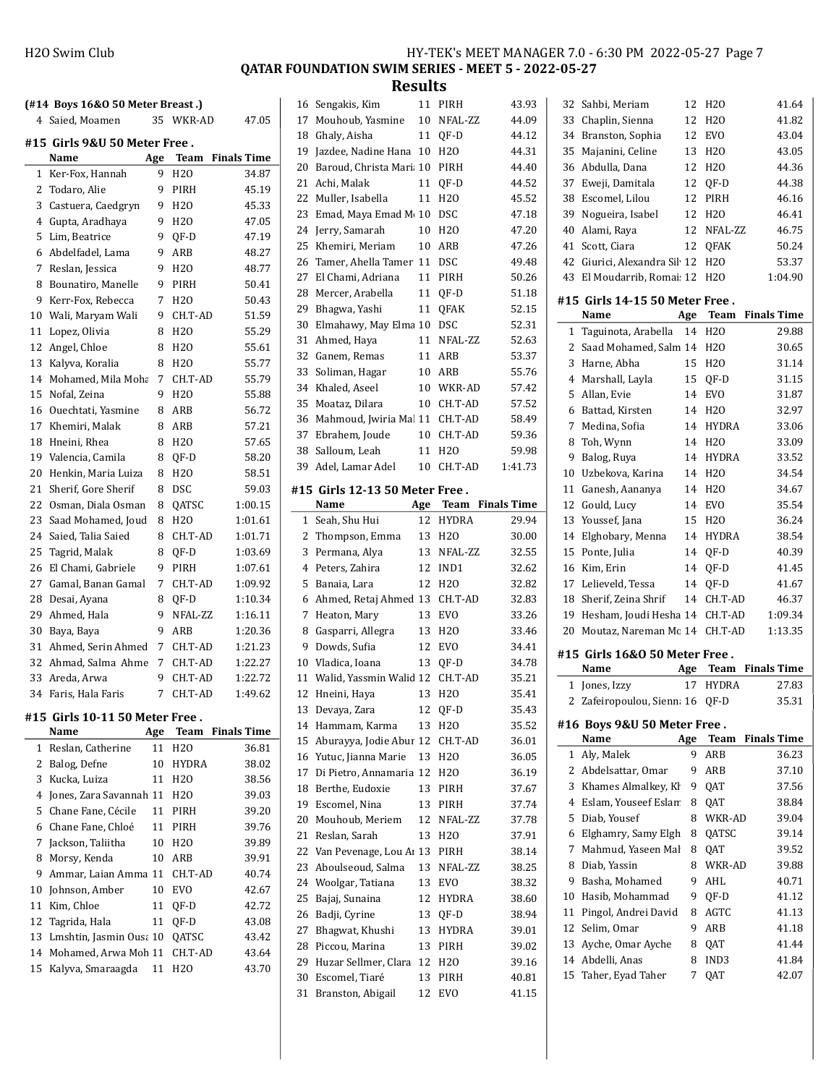| H <sub>20</sub> Swim Club | HY-TEK's MEET MANAGER 7.0 - 6:30 PM 2022-05-27 Page 7 |
|---------------------------|-------------------------------------------------------|
|---------------------------|-------------------------------------------------------|

QATAR FOUNDATION SWIM SERIES - MEET 5 - 2022-05-27

**Results**<br>11 PIRH

|          | (#14 Boys 16&0 50 Meter Breast.)            |     |                 |                         |
|----------|---------------------------------------------|-----|-----------------|-------------------------|
|          | 4 Saied, Moamen                             | 35  | WKR-AD          | 47.05                   |
|          | #15  Girls 9&U 50 Meter Free .<br>Name      | Age | Team            | <b>Finals Time</b>      |
| 1        | Ker-Fox, Hannah                             | 9   | H <sub>20</sub> | 34.87                   |
| 2        | Todaro, Alie                                | 9   | PIRH            | 45.19                   |
| 3        | Castuera, Caedgryn                          | 9   | H20             | 45.33                   |
| 4        | Gupta, Aradhaya                             | 9   | H <sub>20</sub> | 47.05                   |
| 5        | Lim, Beatrice                               | 9   | QF-D            | 47.19                   |
| 6        | Abdelfadel, Lama                            | 9   | ARB             | 48.27                   |
| 7        | Reslan, Jessica                             | 9   | H <sub>20</sub> | 48.77                   |
| 8        | Bounatiro, Manelle                          | 9   | PIRH            | 50.41                   |
| 9        | Kerr-Fox, Rebecca                           | 7   | H2O             | 50.43                   |
| 10       | Wali, Maryam Wali                           | 9   | CH.T-AD         | 51.59                   |
| 11       | Lopez, Olivia                               | 8   | H <sub>20</sub> | 55.29                   |
| 12       | Angel, Chloe                                | 8   | H2O             | 55.61                   |
| 13       | Kalyva, Koralia                             | 8   | H20             | 55.77                   |
|          | 14 Mohamed, Mila Moha                       | 7   | CH.T-AD         | 55.79                   |
| 15       | Nofal, Zeina                                | 9   | H20             | 55.88                   |
|          | 16 Ouechtati, Yasmine                       | 8   | ARB             | 56.72                   |
|          | 17 Khemiri, Malak                           | 8   | ARB             | 57.21                   |
| 18       | Hneini, Rhea                                | 8   | H <sub>20</sub> | 57.65                   |
|          | 19 Valencia, Camila                         | 8   | QF-D            | 58.20                   |
| 20       | Henkin, Maria Luiza                         | 8   | H20             | 58.51                   |
| 21       | Sherif, Gore Sherif                         | 8   | <b>DSC</b>      | 59.03                   |
|          | 22 Osman, Diala Osman                       | 8   | QATSC           | 1:00.15                 |
| 23       |                                             | 8   | H <sub>20</sub> | 1:01.61                 |
|          | Saad Mohamed, Joud<br>24 Saied, Talia Saied | 8   | CH.T-AD         | 1:01.71                 |
| 25       | Tagrid, Malak                               | 8   | QF-D            | 1:03.69                 |
|          |                                             | 9   |                 |                         |
| 26       | El Chami, Gabriele                          |     | PIRH            | 1:07.61                 |
| 27       | Gamal, Banan Gamal                          | 7   | CH.T-AD         | 1:09.92                 |
| 28       | Desai, Ayana                                | 8   | QF-D            | 1:10.34                 |
| 29       | Ahmed, Hala                                 | 9   | NFAL-ZZ         | 1:16.11                 |
| 30<br>31 | Baya, Baya                                  | 9   | ARB             | 1:20.36                 |
|          | Ahmed, Serin Ahmed                          | 7   | CH.T-AD         | 1:21.23                 |
|          | 32 Ahmad, Salma Ahme                        | 7   | CH.T-AD         | 1:22.27                 |
|          | 33 Areda, Arwa                              | 9   | CH.T-AD         | 1:22.72                 |
| 34       | Faris, Hala Faris                           | 7   | CH.T-AD         | 1:49.62                 |
|          | #15 Girls 10-11 50 Meter Free.<br>Name      | Age |                 | <b>Team</b> Finals Time |
| 1        | Reslan, Catherine                           | 11  | H <sub>20</sub> | 36.81                   |
| 2        | Balog, Defne                                | 10  | HYDRA           | 38.02                   |
| 3        | Kucka, Luiza                                | 11  | H20             | 38.56                   |
| 4        | Jones, Zara Savannah 11                     |     | H2O             | 39.03                   |
| 5        | Chane Fane, Cécile                          | 11  | PIRH            | 39.20                   |
| 6        | Chane Fane, Chloé                           | 11  | PIRH            | 39.76                   |
| 7        | Jackson, Taliitha                           | 10  | H20             | 39.89                   |
| 8        | Morsy, Kenda                                | 10  | ARB             | 39.91                   |
| 9        | Ammar, Laian Amma 11                        |     | CH.T-AD         | 40.74                   |
| 10       | Johnson, Amber                              | 10  | EVO             | 42.67                   |
| 11       | Kim, Chloe                                  | 11  | QF-D            | 42.72                   |
| 12       | Tagrida, Hala                               | 11  | QF-D            | 43.08                   |
| 13       | Lmshtin, Jasmin Ousa 10                     |     | QATSC           | 43.42                   |
| 14       | Mohamed, Arwa Moh 11                        |     | CH.T-AD         | 43.64                   |
| 15       | Kalyva, Smaraagda                           | 11  | H20             | 43.70                   |
|          |                                             |     |                 |                         |

| 16           | Sengakis, Kim                  | 11  | PIRH             | 43.93              |
|--------------|--------------------------------|-----|------------------|--------------------|
| 17           | Mouhoub, Yasmine               | 10  | NFAL-ZZ          | 44.09              |
| 18           | Ghaly, Aisha                   | 11  | QF-D             | 44.12              |
| 19           | Jazdee, Nadine Hana            | 10  | H20              | 44.31              |
| 20           | Baroud, Christa Mari 10        |     | PIRH             | 44.40              |
| 21           | Achi, Malak                    | 11  | QF-D             | 44.52              |
| 22           | Muller, Isabella               | 11  | H <sub>20</sub>  | 45.52              |
| 23           | Emad, Maya Emad M 10           |     | DSC              | 47.18              |
| 24           | Jerry, Samarah                 | 10  | H <sub>20</sub>  | 47.20              |
| 25           | Khemiri, Meriam                | 10  | ARB              | 47.26              |
| 26           | Tamer, Ahella Tamer            | 11  | DSC              | 49.48              |
| 27           | El Chami, Adriana              | 11  | PIRH             | 50.26              |
| 28           | Mercer, Arabella               | 11  | QF-D             | 51.18              |
| 29           | Bhagwa, Yashi                  | 11  | QFAK             | 52.15              |
| 30           | Elmahawy, May Elma 10          |     | DSC              | 52.31              |
| 31           | Ahmed, Haya                    | 11  | NFAL-ZZ          | 52.63              |
| 32           | Ganem, Remas                   | 11  | ARB              | 53.37              |
| 33           | Soliman, Hagar                 | 10  | ARB              | 55.76              |
| 34           | Khaled, Aseel                  | 10  | WKR-AD           | 57.42              |
| 35           | Moataz, Dilara                 | 10  | CH.T-AD          | 57.52              |
| 36           | Mahmoud, Jwiria Mal 11         |     | CH.T-AD          | 58.49              |
| 37           | Ebrahem, Joude                 | 10  | CH.T-AD          | 59.36              |
| 38           | Salloum, Leah                  | 11  | H <sub>20</sub>  | 59.98              |
| 39           | Adel, Lamar Adel               | 10  | CH.T-AD          | 1:41.73            |
|              |                                |     |                  |                    |
|              | #15 Girls 12-13 50 Meter Free. |     |                  |                    |
|              | Name                           | Age | Team             | <b>Finals Time</b> |
| $\mathbf{1}$ | Seah, Shu Hui                  | 12  | <b>HYDRA</b>     | 29.94              |
| 2            | Thompson, Emma                 | 13  | H <sub>20</sub>  | 30.00              |
|              |                                |     |                  |                    |
| 3            | Permana, Alya                  | 13  | NFAL-ZZ          | 32.55              |
| 4            | Peters, Zahira                 | 12  | IND1             | 32.62              |
| 5            | Banaia, Lara                   | 12  | H <sub>20</sub>  | 32.82              |
| 6            | Ahmed, Retaj Ahmed 13          |     | CH.T-AD          | 32.83              |
| 7            | Heaton, Mary                   | 13  | <b>EVO</b>       | 33.26              |
| 8            | Gasparri, Allegra              | 13  | H <sub>20</sub>  | 33.46              |
| 9            | Dowds, Sufia                   | 12  | EVO              | 34.41              |
|              | 10 Vladica, Ioana              | 13  | QF-D             | 34.78              |
| 11           | Walid, Yassmin Walid 12        |     | CH.T-AD          | 35.21              |
| 12           | Hneini, Haya                   | 13  | H <sub>20</sub>  | 35.41              |
| 13           | Devaya, Zara                   | 12  | QF-D             | 35.43              |
| 14           | Hammam, Karma                  | 13  | H <sub>20</sub>  | 35.52              |
| 15           | Aburayya, Jodie Abur 12        |     | CH.T-AD          | 36.01              |
| 16           | Yutuc, Jianna Marie            | 13  | H <sub>2</sub> O | 36.05              |
| 17           | Di Pietro, Annamaria 12        |     | H <sub>20</sub>  | 36.19              |
| 18           | Berthe, Eudoxie                | 13  | PIRH             | 37.67              |
| 19           | Escomel, Nina                  | 13  | PIRH             | 37.74              |
| 20           | Mouhoub, Meriem                | 12  | NFAL-ZZ          | 37.78              |
| 21           | Reslan, Sarah                  | 13  | H <sub>20</sub>  | 37.91              |
| 22           | Van Pevenage, Lou Ar 13        |     | PIRH             | 38.14              |
| 23           | Aboulseoud, Salma              | 13  | NFAL-ZZ          | 38.25              |
| 24           | Woolgar, Tatiana               | 13  | EVO              | 38.32              |
| 25           | Bajaj, Sunaina                 | 12  | HYDRA            | 38.60              |
| 26           | Badji, Cyrine                  | 13  | QF-D             | 38.94              |
| 27           | Bhagwat, Khushi                | 13  | HYDRA            | 39.01              |
| 28           | Piccou, Marina                 | 13  | PIRH             | 39.02              |
| 29           | Huzar Sellmer, Clara           | 12  | H <sub>20</sub>  | 39.16              |
| 30           | Escomel, Tiaré                 | 13  | PIRH             | 40.81              |
| 31           | Branston, Abigail              | 12  | EVO              | 41.15              |

| 32           | Sahbi, Meriam                      | 12     | H <sub>20</sub> | 41.64              |
|--------------|------------------------------------|--------|-----------------|--------------------|
| 33           | Chaplin, Sienna                    | 12     | H <sub>20</sub> | 41.82              |
| 34           | Branston, Sophia                   | 12     | <b>EVO</b>      | 43.04              |
| 35           | Majanini, Celine                   | 13     | H <sub>20</sub> | 43.05              |
| 36           | Abdulla, Dana                      | 12     | H <sub>20</sub> | 44.36              |
| 37           | Eweji, Damitala                    | 12     | QF-D            | 44.38              |
| 38           | Escomel, Lilou                     | 12     | PIRH            | 46.16              |
| 39           | Nogueira, Isabel                   | 12     | H <sub>20</sub> | 46.41              |
| 40           | Alami, Raya                        | 12     | NFAL-ZZ         | 46.75              |
| 41           | Scott, Ciara                       | 12     | QFAK            | 50.24              |
| 42           | Giurici, Alexandra Sil 12          |        | H <sub>20</sub> | 53.37              |
| 43           | El Moudarrib, Romai 12             |        | H <sub>20</sub> | 1:04.90            |
|              | #15 Girls 14-15 50 Meter Free.     |        |                 |                    |
|              | Name                               | Age    | Team            | <b>Finals Time</b> |
| $\mathbf{1}$ | Taguinota, Arabella                | 14     | H2O             | 29.88              |
| 2            | Saad Mohamed, Salm 14              |        | H <sub>20</sub> | 30.65              |
| 3            | Harne, Abha                        | 15     | H <sub>20</sub> | 31.14              |
|              | 4 Marshall, Layla                  | 15     | OF-D            | 31.15              |
| 5            | Allan, Evie                        | 14     | EVO             | 31.87              |
| 6            | Battad, Kirsten                    | 14     | H <sub>20</sub> | 32.97              |
| 7            | Medina, Sofia                      | 14     | <b>HYDRA</b>    | 33.06              |
| 8            | Toh, Wynn                          | 14     | H <sub>20</sub> | 33.09              |
| 9            | Balog, Ruya                        | 14     | <b>HYDRA</b>    | 33.52              |
| 10           | Uzbekova, Karina                   |        | 14 H2O          | 34.54              |
| 11           | Ganesh, Aananya                    | 14     | H <sub>20</sub> | 34.67              |
| 12           | Gould, Lucy                        | 14     | <b>EVO</b>      | 35.54              |
| 13           | Youssef, Jana                      | 15     | H <sub>20</sub> | 36.24              |
| 14           | Elghobary, Menna                   | 14     | <b>HYDRA</b>    | 38.54              |
|              |                                    | 14     |                 | 40.39              |
|              |                                    |        |                 |                    |
| 15           | Ponte, Julia                       |        | QF-D            |                    |
| 16           | Kim, Erin                          | 14     | QF-D            | 41.45              |
| 17           | Lelieveld, Tessa                   | 14     | QF-D            | 41.67              |
| 18<br>19     | Sherif, Zeina Shrif                | 14     | CH.T-AD         | 46.37              |
| 20           | Hesham, Joudi Hesha 14             |        | CH.T-AD         | 1:09.34<br>1:13.35 |
|              | Moutaz, Nareman Mc 14 CH.T-AD      |        |                 |                    |
|              | #15 Girls 16&0 50 Meter Free.      |        |                 |                    |
|              | Name                               |        | Age Team        | <b>Finals Time</b> |
| $\mathbf{1}$ | Jones, Izzy                        | 17     | <b>HYDRA</b>    | 27.83              |
| 2            | Zafeiropoulou, Sienna 16           |        | QF-D            | 35.31              |
|              | #16 Boys 9&U 50 Meter Free.        |        |                 |                    |
|              | Name                               | Age    | Team            | <b>Finals Time</b> |
| 1            | Aly, Malek                         | 9      | ARB             | 36.23              |
| 2            | Abdelsattar, Omar                  | 9      | ARB             | 37.10              |
| 3            | Khames Almalkey, Kł                | 9      | QAT             | 37.56              |
| 4            | Eslam, Youseef Eslam               | 8      | QAT             | 38.84              |
| 5            | Diab, Yousef                       | 8      | WKR-AD          | 39.04              |
| 6            | Elghamry, Samy Elgh                | 8      | QATSC           | 39.14              |
| 7            | Mahmud. Yaseen Mal                 | 8      | QAT             | 39.52              |
| 8            | Diab, Yassin                       | 8      | WKR-AD          | 39.88              |
| 9            | Basha, Mohamed                     | 9      | AHL             | 40.71              |
| 10           | Hasib, Mohammad                    | 9      | QF-D            | 41.12              |
| 11           | Pingol, Andrei David               | 8      | AGTC            | 41.13              |
| 12           | Selim, Omar                        | 9      | ARB             | 41.18              |
| 13           | Ayche, Omar Ayche                  | 8      | QAT             | 41.44              |
| 14<br>15     | Abdelli, Anas<br>Taher, Eyad Taher | 8<br>7 | IND3<br>QAT     | 41.84<br>42.07     |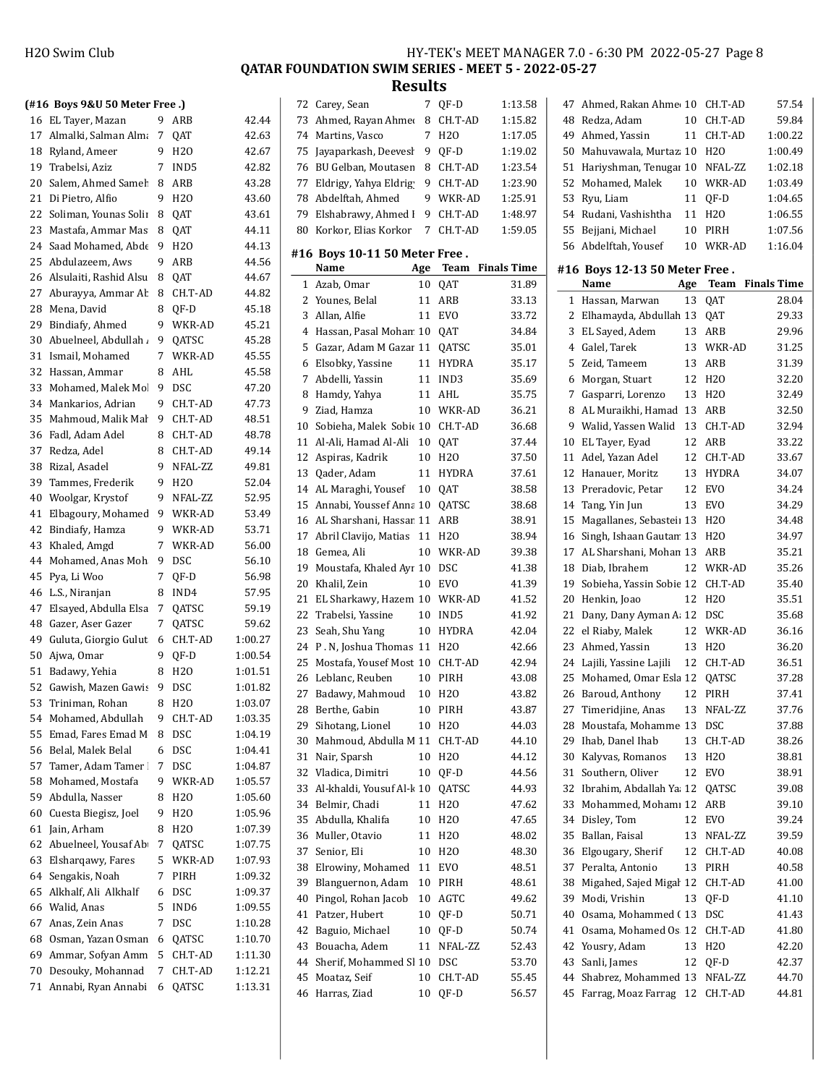QATAR FOUNDATION SWIM SERIES - MEET 5 - 2022-05-27

|    | (#16 Boys 9&U 50 Meter Free.)    |    |                 |         |              | 72   Carey, Se  |
|----|----------------------------------|----|-----------------|---------|--------------|-----------------|
|    | 16 EL Tayer, Mazan               | 9  | ARB             | 42.44   | 73           | Ahmed,          |
| 17 | Almalki, Salman Alma             | 7  | QAT             | 42.63   | 74           | Martins,        |
| 18 | Ryland, Ameer                    | 9  | H20             | 42.67   | 75           | Jayapark        |
| 19 | Trabelsi, Aziz                   | 7  | IND5            | 42.82   | 76           | <b>BU</b> Gelba |
| 20 | Salem, Ahmed Samel               | 8  | ARB             | 43.28   | 77           | Eldrigy,        |
| 21 | Di Pietro, Alfio                 | 9  | H20             | 43.60   | 78           | Abdelfta        |
| 22 | Soliman, Younas Solii            | 8  | QAT             | 43.61   | 79           | Elshabra        |
| 23 | Mastafa, Ammar Mas               | 8  | QAT             | 44.11   | 80           | Korkor,         |
| 24 | Saad Mohamed, Abde               | 9  | H20             | 44.13   |              |                 |
| 25 | Abdulazeem, Aws                  | 9  | ARB             | 44.56   |              | #16 Boys 1      |
| 26 | Alsulaiti, Rashid Alsu           | 8  | QAT             | 44.67   |              | Name            |
| 27 | Aburayya, Ammar Ab               | 8  | CH.T-AD         | 44.82   | $\mathbf{1}$ | Azab, Or        |
| 28 | Mena, David                      | 8  | QF-D            | 45.18   | 2            | Younes,         |
| 29 | Bindiafy, Ahmed                  | 9  | WKR-AD          | 45.21   | 3            | Allan, Al       |
| 30 | Abuelneel, Abdullah              | 9  | QATSC           | 45.28   | 4            | Hassan,         |
| 31 |                                  | 7  |                 |         | 5            | Gazar, A        |
|    | Ismail, Mohamed<br>Hassan, Ammar |    | WKR-AD          | 45.55   | 6            | Elsobky,        |
| 32 |                                  | 8  | AHL             | 45.58   | 7            | Abdelli,        |
| 33 | Mohamed, Malek Mo                | 9  | DSC             | 47.20   | 8            | Hamdy,          |
| 34 | Mankarios, Adrian                | 9  | CH.T-AD         | 47.73   | 9            | Ziad, Ha        |
| 35 | Mahmoud, Malik Mal               | 9  | CH.T-AD         | 48.51   | 10           | Sobieha,        |
| 36 | Fadl, Adam Adel                  | 8  | CH.T-AD         | 48.78   | 11           | Al-Ali, H       |
| 37 | Redza, Adel                      | 8  | CH.T-AD         | 49.14   | 12           | Aspiras,        |
| 38 | Rizal, Asadel                    | 9  | NFAL-ZZ         | 49.81   | 13           | Qader, A        |
| 39 | Tammes, Frederik                 | 9  | H <sub>20</sub> | 52.04   | 14           | AL Mara         |
| 40 | Woolgar, Krystof                 | 9  | NFAL-ZZ         | 52.95   | 15           | Annabi,         |
| 41 | Elbagoury, Mohamed               | 9  | WKR-AD          | 53.49   | 16           | AL Shars        |
| 42 | Bindiafy, Hamza                  | 9  | WKR-AD          | 53.71   | 17           | Abril Cla       |
| 43 | Khaled, Amgd                     | 7  | WKR-AD          | 56.00   | 18           | Gemea, <i>i</i> |
| 44 | Mohamed, Anas Moh                | 9  | <b>DSC</b>      | 56.10   | 19           | Moustafa        |
| 45 | Pya, Li Woo                      | 7  | QF-D            | 56.98   | 20           | Khalil, Z       |
| 46 | L.S., Niranjan                   | 8  | IND4            | 57.95   | 21           | EL Sharl        |
| 47 | Elsayed, Abdulla Elsa            | 7  | QATSC           | 59.19   | 22           | Trabelsi        |
|    | 48 Gazer, Aser Gazer             | 7  | QATSC           | 59.62   | 23           | Seah, Sh        |
| 49 | Guluta, Giorgio Gulut            | 6  | CH.T-AD         | 1:00.27 | 24           | P.N, Jos        |
| 50 | Ajwa, Omar                       | 9  | QF-D            | 1:00.54 | 25           | Mostafa,        |
|    | 51 Badawy, Yehia                 | 8  | H <sub>20</sub> | 1:01.51 | 26           | Leblanc,        |
|    | 52 Gawish, Mazen Gawis           | 9  | <b>DSC</b>      | 1:01.82 | 27           | Badawy,         |
|    | 53 Triniman, Rohan               |    | 8 H2O           | 1:03.07 | 28           | Berthe, 0       |
|    | 54 Mohamed, Abdullah             | 9. | CH.T-AD         | 1:03.35 | 29           | Sihotang        |
| 55 | Emad, Fares Emad M               | 8  | DSC             | 1:04.19 | 30           | Mahmou          |
| 56 | Belal, Malek Belal               | 6  | <b>DSC</b>      | 1:04.41 | 31           | Nair, Spa       |
| 57 | Tamer, Adam Tamer                | 7  | DSC             | 1:04.87 | 32           | Vladica,        |
| 58 | Mohamed, Mostafa                 | 9  | WKR-AD          | 1:05.57 | 33           | Al-khald        |
| 59 | Abdulla, Nasser                  | 8  | H <sub>20</sub> | 1:05.60 | 34           | Belmir, 0       |
|    | 60 Cuesta Biegisz, Joel          | 9  | H2O             | 1:05.96 | 35           | Abdulla,        |
| 61 | Jain, Arham                      | 8  | H20             | 1:07.39 |              | 36 Muller, 0    |
| 62 | Abuelneel, Yousaf Ab             | 7  | QATSC           | 1:07.75 | 37           | Senior, E       |
|    | 63 Elshargawy, Fares             | 5  | WKR-AD          | 1:07.93 | 38           | Elrowiny        |
|    | 64 Sengakis, Noah                | 7  | PIRH            | 1:09.32 | 39           | Blangue         |
| 65 | Alkhalf, Ali Alkhalf             | 6  | DSC             | 1:09.37 | 40           | Pingol, R       |
|    | 66 Walid, Anas                   | 5  | IND6            | 1:09.55 | 41           | Patzer, F       |
| 67 | Anas, Zein Anas                  | 7  | <b>DSC</b>      | 1:10.28 | 42           | Baguio, l       |
| 68 | Osman, Yazan Osman               | 6  | QATSC           | 1:10.70 | 43           | Bouacha         |
| 69 | Ammar, Sofyan Amm                | 5  | CH.T-AD         | 1:11.30 | 44           | Sherif, M       |
| 70 | Desouky, Mohannad                | 7  | CH.T-AD         | 1:12.21 | 45           | Moataz,         |
|    | 71 Annabi, Ryan Annabi           | 6  | QATSC           | 1:13.31 |              |                 |
|    |                                  |    |                 |         | 46           | Harras, 2       |

|    | 72 Carey, Sean                  | 7   | QF-D             | 1:13.58            |  |
|----|---------------------------------|-----|------------------|--------------------|--|
| 73 | Ahmed, Rayan Ahmer              | 8   | CH.T-AD          | 1:15.82            |  |
| 74 | Martins, Vasco                  | 7   | H <sub>20</sub>  | 1:17.05            |  |
| 75 | Jayaparkash, Deevesl            | 9   | QF-D             | 1:19.02            |  |
| 76 | BU Gelban, Moutasen             | 8   | CH.T-AD          | 1:23.54            |  |
| 77 | Eldrigy, Yahya Eldrig           | 9   | CH.T-AD          | 1:23.90            |  |
| 78 | Abdelftah, Ahmed                | 9   | WKR-AD           | 1:25.91            |  |
| 79 | Elshabrawy, Ahmed I             | 9   | CH.T-AD          | 1:48.97            |  |
| 80 | Korkor, Elias Korkor            | 7   | CH.T-AD          | 1:59.05            |  |
|    |                                 |     |                  |                    |  |
|    | #16 Boys 10-11 50 Meter Free .  |     |                  |                    |  |
|    | Name                            | Age | Team             | <b>Finals Time</b> |  |
| 1  | Azab, Omar                      | 10  | QAT              | 31.89              |  |
| 2  | Younes, Belal                   | 11  | ARB              | 33.13              |  |
| 3  | Allan, Alfie                    | 11  | EVO              | 33.72              |  |
| 4  | Hassan, Pasal Mohan 10          |     | QAT              | 34.84              |  |
| 5  | Gazar, Adam M Gazar 11          |     | QATSC            | 35.01              |  |
| 6  | Elsobky, Yassine                | 11  | HYDRA            | 35.17              |  |
| 7  | Abdelli, Yassin                 | 11  | IND <sub>3</sub> | 35.69              |  |
| 8  | Hamdy, Yahya                    | 11  | AHL              | 35.75              |  |
| 9  | Ziad, Hamza                     | 10  | WKR-AD           | 36.21              |  |
| 10 | Sobieha, Malek Sobie 10 CH.T-AD |     |                  | 36.68              |  |
| 11 | Al-Ali, Hamad Al-Ali            | 10  | QAT              | 37.44              |  |
| 12 | Aspiras, Kadrik                 | 10  | H <sub>20</sub>  | 37.50              |  |
| 13 | Qader, Adam                     | 11  | <b>HYDRA</b>     | 37.61              |  |
| 14 | AL Maraghi, Yousef              | 10  | QAT              | 38.58              |  |
| 15 | Annabi, Youssef Anna 10         |     | QATSC            | 38.68              |  |
| 16 | AL Sharshani, Hassar 11         |     | ARB              | 38.91              |  |
| 17 | Abril Clavijo, Matias           | 11  | H20              | 38.94              |  |
| 18 | Gemea, Ali                      | 10  | WKR-AD           | 39.38              |  |
| 19 | Moustafa, Khaled Ayr 10         |     | DSC              | 41.38              |  |
| 20 | Khalil, Zein                    | 10  | EVO              | 41.39              |  |
| 21 | EL Sharkawy, Hazem 10           |     | WKR-AD           | 41.52              |  |
| 22 | Trabelsi, Yassine               | 10  | IND5             | 41.92              |  |
| 23 | Seah, Shu Yang                  | 10  | HYDRA            | 42.04              |  |
| 24 | P.N, Joshua Thomas 11           |     | H <sub>20</sub>  | 42.66              |  |
| 25 | Mostafa, Yousef Most 10         |     | CH.T-AD          | 42.94              |  |
| 26 | Leblanc, Reuben                 | 10  | PIRH             | 43.08              |  |
| 27 | Badawy, Mahmoud                 | 10  | H <sub>20</sub>  | 43.82              |  |
| 28 | Berthe, Gabin                   | 10  | PIRH             | 43.87              |  |
| 29 | Sihotang, Lionel                | 10  | H2O              | 44.03              |  |
| 30 | Mahmoud, Abdulla M 11           |     | CH.T-AD          | 44.10              |  |
| 31 | Nair, Sparsh                    | 10  | H <sub>20</sub>  | 44.12              |  |
| 32 | Vladica, Dimitri                | 10  | QF-D             | 44.56              |  |
| 33 | Al-khaldi, Yousuf Al-k 10       |     | QATSC            | 44.93              |  |
| 34 | Belmir, Chadi                   | 11  | H <sub>20</sub>  | 47.62              |  |
| 35 | Abdulla, Khalifa                | 10  | H <sub>20</sub>  | 47.65              |  |
| 36 | Muller, Otavio                  | 11  | H20              | 48.02              |  |
| 37 | Senior, Eli                     | 10  | H <sub>20</sub>  | 48.30              |  |
| 38 | Elrowiny, Mohamed               | 11  | EVO              | 48.51              |  |
| 39 | Blanguernon, Adam               | 10  | PIRH             | 48.61              |  |
| 40 | Pingol, Rohan Jacob             | 10  | AGTC             | 49.62              |  |
| 41 | Patzer, Hubert                  | 10  | QF-D             | 50.71              |  |
| 42 | Baguio, Michael                 | 10  | QF-D             | 50.74              |  |
| 43 | Bouacha, Adem                   | 11  | NFAL-ZZ          | 52.43              |  |
| 44 | Sherif, Mohammed Sl 10          |     | DSC              | 53.70              |  |
| 45 | Moataz, Seif                    | 10  | CH.T-AD          | 55.45              |  |
| 46 | Harras, Ziad                    | 10  | QF-D             | 56.57              |  |
|    |                                 |     |                  |                    |  |

| 47       | Ahmed, Rakan Ahme 10                      |            | CH.T-AD                    | 57.54              |
|----------|-------------------------------------------|------------|----------------------------|--------------------|
| 48       | Redza, Adam                               | 10         | CH.T-AD                    | 59.84              |
| 49       | Ahmed, Yassin                             | 11         | CH.T-AD                    | 1:00.22            |
| 50       | Mahuvawala, Murtaz 10                     |            | H <sub>20</sub>            | 1:00.49            |
| 51       | Hariyshman, Tenugai 10 NFAL-ZZ            |            |                            | 1:02.18            |
| 52       | Mohamed, Malek                            | 10         | WKR-AD                     | 1:03.49            |
| 53       | Ryu, Liam                                 | 11         | QF-D                       | 1:04.65            |
| 54       | Rudani, Vashishtha                        | 11         | H <sub>20</sub>            | 1:06.55            |
| 55       | Bejjani, Michael                          | 10         | PIRH                       | 1:07.56            |
| 56       | Abdelftah, Yousef                         | 10         | WKR-AD                     | 1:16.04            |
|          |                                           |            |                            |                    |
|          | #16 Boys 12-13 50 Meter Free .            |            |                            |                    |
|          | Name                                      | <b>Age</b> | Team                       | <b>Finals Time</b> |
| 1<br>2   | Hassan, Marwan                            | 13         | QAT                        | 28.04              |
| 3        | Elhamayda, Abdullah 13                    | 13         | QAT                        | 29.33              |
| 4        | EL Sayed, Adem<br>Galel, Tarek            | 13         | ARB<br>WKR-AD              | 29.96<br>31.25     |
| 5        | Zeid, Tameem                              | 13         | ARB                        | 31.39              |
|          | Morgan, Stuart                            |            |                            |                    |
| 6        |                                           | 12         | H <sub>20</sub>            | 32.20              |
| 7<br>8   | Gasparri, Lorenzo                         | 13<br>13   | H <sub>20</sub>            | 32.49<br>32.50     |
| 9        | AL Muraikhi, Hamad                        | 13         | ARB                        |                    |
| 10       | Walid, Yassen Walid                       | 12         | CH.T-AD<br>ARB             | 32.94<br>33.22     |
|          | EL Tayer, Eyad<br>Adel, Yazan Adel        | 12         |                            |                    |
| 11<br>12 |                                           |            | CH.T-AD                    | 33.67              |
|          | Hanauer, Moritz                           | 13         | <b>HYDRA</b><br><b>EVO</b> | 34.07              |
| 13       | Preradovic, Petar                         | 12         |                            | 34.24              |
| 14       | Tang, Yin Jun                             | 13         | EVO                        | 34.29              |
| 15       | Magallanes, Sebasteii 13                  |            | H <sub>20</sub>            | 34.48              |
| 16       | Singh, Ishaan Gautan 13                   |            | H <sub>20</sub>            | 34.97              |
| 17       | AL Sharshani, Mohan 13                    |            | ARB                        | 35.21              |
| 18       | Diab, Ibrahem                             | 12         | WKR-AD                     | 35.26              |
| 19       | Sobieha, Yassin Sobie 12                  | 12         | CH.T-AD                    | 35.40              |
| 20       | Henkin, Joao                              |            | H <sub>20</sub>            | 35.51              |
| 21       | Dany, Dany Ayman A: 12<br>el Riaby, Malek |            | <b>DSC</b><br>WKR-AD       | 35.68              |
| 22<br>23 | Ahmed, Yassin                             | 12<br>13   | H <sub>20</sub>            | 36.16<br>36.20     |
| 24       | Lajili, Yassine Lajili                    | 12         | CH.T-AD                    | 36.51              |
| 25       | Mohamed, Omar Esla 12                     |            | QATSC                      | 37.28              |
| 26       | Baroud, Anthony                           | 12         | PIRH                       | 37.41              |
| 27       | Timeridjine, Anas                         | 13         | NFAL-ZZ                    | 37.76              |
| 28       | Moustafa, Mohamme 13                      |            | <b>DSC</b>                 | 37.88              |
| 29       | Ihab, Danel Ihab                          | 13         | CH.T-AD                    | 38.26              |
| 30       | Kalyvas, Romanos                          | 13         | H2O                        | 38.81              |
| 31       | Southern, Oliver                          |            | 12 EVO                     | 38.91              |
| 32       | Ibrahim, Abdallah Ya 12 QATSC             |            |                            | 39.08              |
| 33       | Mohammed, Mohamı 12                       |            | ARB                        | 39.10              |
| 34       | Disley, Tom                               | 12         | EVO                        | 39.24              |
| 35       | Ballan, Faisal                            | 13         | NFAL-ZZ                    | 39.59              |
| 36       | Elgougary, Sherif                         | 12         | CH.T-AD                    | 40.08              |
| 37       | Peralta, Antonio                          | 13         | PIRH                       | 40.58              |
| 38       | Migahed, Sajed Migal 12                   |            | CH.T-AD                    | 41.00              |
| 39       | Modi, Vrishin                             | 13         | QF-D                       | 41.10              |
| 40       | Osama, Mohammed (13                       |            | DSC                        | 41.43              |
| 41       | Osama, Mohamed Os 12                      |            | CH.T-AD                    | 41.80              |
| 42       | Yousry, Adam                              | 13         | H <sub>20</sub>            | 42.20              |
| 43       | Sanli, James                              | 12         | QF-D                       | 42.37              |
| 44       | Shabrez, Mohammed 13 NFAL-ZZ              |            |                            | 44.70              |
| 45       | Farrag, Moaz Farrag                       | 12         | CH.T-AD                    | 44.81              |
|          |                                           |            |                            |                    |